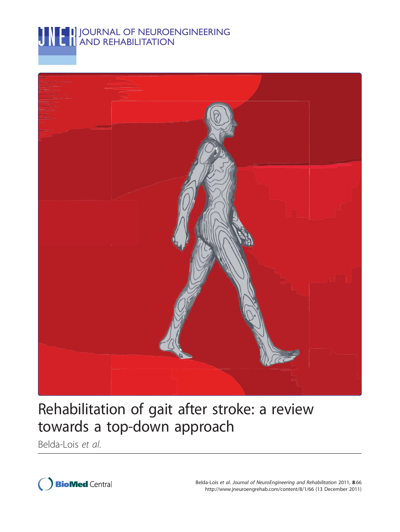# **JNERJOURNAL OF NEUROENGINEERING**<br>JNER AND REHABILITATION



## Rehabilitation of gait after stroke: a review towards a top-down approach

Belda-Lois et al.

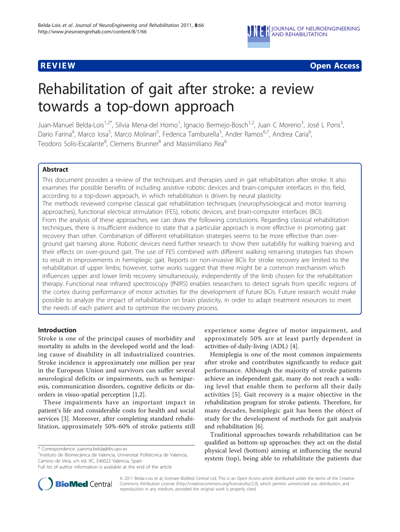**REVIEW CONSTRUCTION CONSTRUCTION CONSTRUCTS** 

## Rehabilitation of gait after stroke: a review towards a top-down approach

Juan-Manuel Belda-Lois<sup>1,2\*</sup>, Silvia Mena-del Horno<sup>1</sup>, Ignacio Bermejo-Bosch<sup>1,2</sup>, Juan C Moreno<sup>3</sup>, José L Pons<sup>3</sup> , Dario Farina<sup>4</sup>, Marco Iosa<sup>5</sup>, Marco Molinari<sup>5</sup>, Federica Tamburella<sup>5</sup>, Ander Ramos<sup>6,7</sup>, Andrea Caria<sup>6</sup> י<br>, Teodoro Solis-Escalante<sup>8</sup>, Clemens Brunner<sup>8</sup> and Massimiliano Rea<sup>6</sup>

## Abstract

This document provides a review of the techniques and therapies used in gait rehabilitation after stroke. It also examines the possible benefits of including assistive robotic devices and brain-computer interfaces in this field, according to a top-down approach, in which rehabilitation is driven by neural plasticity. The methods reviewed comprise classical gait rehabilitation techniques (neurophysiological and motor learning approaches), functional electrical stimulation (FES), robotic devices, and brain-computer interfaces (BCI). From the analysis of these approaches, we can draw the following conclusions. Regarding classical rehabilitation techniques, there is insufficient evidence to state that a particular approach is more effective in promoting gait recovery than other. Combination of different rehabilitation strategies seems to be more effective than overground gait training alone. Robotic devices need further research to show their suitability for walking training and their effects on over-ground gait. The use of FES combined with different walking retraining strategies has shown to result in improvements in hemiplegic gait. Reports on non-invasive BCIs for stroke recovery are limited to the rehabilitation of upper limbs; however, some works suggest that there might be a common mechanism which influences upper and lower limb recovery simultaneously, independently of the limb chosen for the rehabilitation therapy. Functional near infrared spectroscopy (fNIRS) enables researchers to detect signals from specific regions of the cortex during performance of motor activities for the development of future BCIs. Future research would make possible to analyze the impact of rehabilitation on brain plasticity, in order to adapt treatment resources to meet the needs of each patient and to optimize the recovery process.

### Introduction

Stroke is one of the principal causes of morbidity and mortality in adults in the developed world and the leading cause of disability in all industrialized countries. Stroke incidence is approximately one million per year in the European Union and survivors can suffer several neurological deficits or impairments, such as hemiparesis, communication disorders, cognitive deficits or disorders in visuo-spatial perception [\[1,2](#page-14-0)].

These impairments have an important impact in patient's life and considerable costs for health and social services [\[3](#page-14-0)]. Moreover, after completing standard rehabilitation, approximately 50%-60% of stroke patients still

<sup>1</sup>Instituto de Biomecánica de Valencia, Universitat Politécnica de Valencia, Camino de Vera, s/n ed. 9C, E46022 Valencia, Spain

experience some degree of motor impairment, and approximately 50% are at least partly dependent in activities-of-daily-living (ADL) [\[4](#page-14-0)].

Hemiplegia is one of the most common impairments after stroke and contributes significantly to reduce gait performance. Although the majority of stroke patients achieve an independent gait, many do not reach a walking level that enable them to perform all their daily activities [[5](#page-14-0)]. Gait recovery is a major objective in the rehabilitation program for stroke patients. Therefore, for many decades, hemiplegic gait has been the object of study for the development of methods for gait analysis and rehabilitation [\[6](#page-14-0)].

Traditional approaches towards rehabilitation can be qualified as bottom-up approaches: they act on the distal physical level (bottom) aiming at influencing the neural system (top), being able to rehabilitate the patients due



© 2011 Belda-Lois et al; licensee BioMed Central Ltd. This is an Open Access article distributed under the terms of the Creative Commons Attribution License [\(http://creativecommons.org/licenses/by/2.0](http://creativecommons.org/licenses/by/2.0)), which permits unrestricted use, distribution, and reproduction in any medium, provided the original work is properly cited.

<sup>\*</sup> Correspondence: [juanma.belda@ibv.upv.es](mailto:juanma.belda@ibv.upv.es)

Full list of author information is available at the end of the article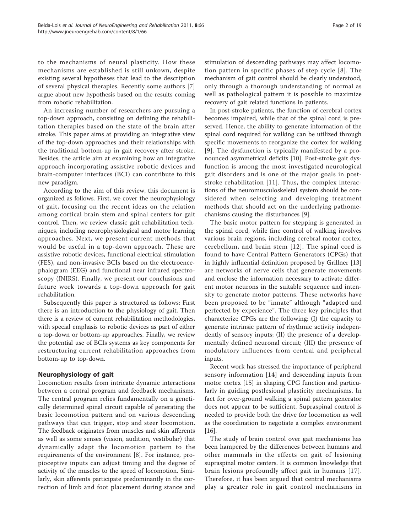to the mechanisms of neural plasticity. How these mechanisms are established is still unkown, despite existing several hypotheses that lead to the description of several physical therapies. Recently some authors [\[7](#page-14-0)] argue about new hypothesis based on the results coming from robotic rehabilitation.

An increasing number of researchers are pursuing a top-down approach, consisting on defining the rehabilitation therapies based on the state of the brain after stroke. This paper aims at providing an integrative view of the top-down approaches and their relationships with the traditional bottom-up in gait recovery after stroke. Besides, the article aim at examining how an integrative approach incorporating assistive robotic devices and brain-computer interfaces (BCI) can contribute to this new paradigm.

According to the aim of this review, this document is organized as follows. First, we cover the neurophysiology of gait, focusing on the recent ideas on the relation among cortical brain stem and spinal centers for gait control. Then, we review classic gait rehabilitation techniques, including neurophysiological and motor learning approaches. Next, we present current methods that would be useful in a top-down approach. These are assistive robotic devices, functional electrical stimulation (FES), and non-invasive BCIs based on the electroencephalogram (EEG) and functional near infrared spectroscopy (fNIRS). Finally, we present our conclusions and future work towards a top-down approach for gait rehabilitation.

Subsequently this paper is structured as follows: First there is an introduction to the physiology of gait. Then there is a review of current rehabilitation methodologies, with special emphasis to robotic devices as part of either a top-down or bottom-up approaches. Finally, we review the potential use of BCIs systems as key components for restructuring current rehabilitation approaches from bottom-up to top-down.

### Neurophysiology of gait

Locomotion results from intricate dynamic interactions between a central program and feedback mechanisms. The central program relies fundamentally on a genetically determined spinal circuit capable of generating the basic locomotion pattern and on various descending pathways that can trigger, stop and steer locomotion. The feedback originates from muscles and skin afferents as well as some senses (vision, audition, vestibular) that dynamically adapt the locomotion pattern to the requirements of the environment [\[8](#page-14-0)]. For instance, propioceptive inputs can adjust timing and the degree of activity of the muscles to the speed of locomotion. Similarly, skin afferents participate predominantly in the correction of limb and foot placement during stance and stimulation of descending pathways may affect locomotion pattern in specific phases of step cycle [[8\]](#page-14-0). The mechanism of gait control should be clearly understood, only through a thorough understanding of normal as well as pathological pattern it is possible to maximize recovery of gait related functions in patients.

In post-stroke patients, the function of cerebral cortex becomes impaired, while that of the spinal cord is preserved. Hence, the ability to generate information of the spinal cord required for walking can be utilized through specific movements to reorganize the cortex for walking [[9](#page-14-0)]. The dysfunction is typically manifested by a pronounced asymmetrical deficits [[10\]](#page-14-0). Post-stroke gait dysfunction is among the most investigated neurological gait disorders and is one of the major goals in poststroke rehabilitation [[11](#page-14-0)]. Thus, the complex interactions of the neuromusculoskeletal system should be considered when selecting and developing treatment methods that should act on the underlying pathomechanisms causing the disturbances [[9\]](#page-14-0).

The basic motor pattern for stepping is generated in the spinal cord, while fine control of walking involves various brain regions, including cerebral motor cortex, cerebellum, and brain stem [[12\]](#page-14-0). The spinal cord is found to have Central Pattern Generators (CPGs) that in highly influential definition proposed by Grillner [[13](#page-14-0)] are networks of nerve cells that generate movements and enclose the information necessary to activate different motor neurons in the suitable sequence and intensity to generate motor patterns. These networks have been proposed to be "innate" although "adapted and perfected by experience". The three key principles that characterize CPGs are the following: (I) the capacity to generate intrinsic pattern of rhythmic activity independently of sensory inputs; (II) the presence of a developmentally defined neuronal circuit; (III) the presence of modulatory influences from central and peripheral inputs.

Recent work has stressed the importance of peripheral sensory information [[14](#page-14-0)] and descending inputs from motor cortex [\[15](#page-14-0)] in shaping CPG function and particularly in guiding postlesional plasticity mechanisms. In fact for over-ground walking a spinal pattern generator does not appear to be sufficient. Supraspinal control is needed to provide both the drive for locomotion as well as the coordination to negotiate a complex environment [[16\]](#page-14-0).

The study of brain control over gait mechanisms has been hampered by the differences between humans and other mammals in the effects on gait of lesioning supraspinal motor centers. It is common knowledge that brain lesions profoundly affect gait in humans [[17\]](#page-14-0). Therefore, it has been argued that central mechanisms play a greater role in gait control mechanisms in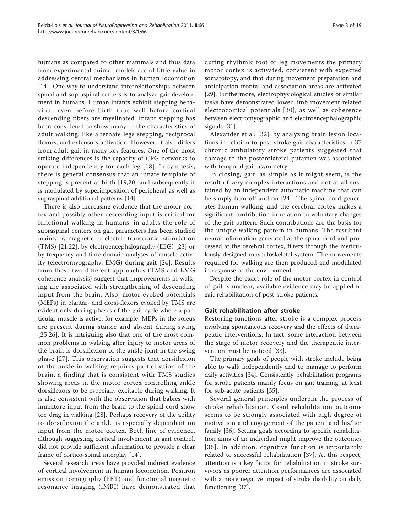humans as compared to other mammals and thus data from experimental animal models are of little value in addressing central mechanisms in human locomotion [[14\]](#page-14-0). One way to understand interrelationships between spinal and supraspinal centers is to analyze gait development in humans. Human infants exhibit stepping behaviour even before birth thus well before cortical descending fibers are myelinated. Infant stepping has been considered to show many of the characteristics of adult walking, like alternate legs stepping, reciprocal flexors, and extensors activation. However, it also differs from adult gait in many key features. One of the most striking differences is the capacity of CPG networks to operate independently for each leg [[18\]](#page-15-0). In synthesis, there is general consensus that an innate template of stepping is present at birth [[19,20](#page-15-0)] and subsequently it is modulated by superimposition of peripheral as well as supraspinal additional patterns [\[14\]](#page-14-0).

There is also increasing evidence that the motor cortex and possibly other descending input is critical for functional walking in humans: in adults the role of supraspinal centers on gait parameters has been studied mainly by magnetic or electric transcranial stimulation (TMS) [\[21,22](#page-15-0)], by electroencephalography (EEG) [\[23](#page-15-0)] or by frequency and time-domain analyses of muscle activity (electromyography, EMG) during gait [[24\]](#page-15-0). Results from these two different approaches (TMS and EMG coherence analysis) suggest that improvements in walking are associated with strengthening of descending input from the brain. Also, motor evoked potentials (MEPs) in plantar- and dorsi-flexors evoked by TMS are evident only during phases of the gait cycle where a particular muscle is active; for example, MEPs in the soleus are present during stance and absent during swing [[25,26\]](#page-15-0). It is intriguing also that one of the most common problems in walking after injury to motor areas of the brain is dorsiflexion of the ankle joint in the swing phase [\[27\]](#page-15-0). This observation suggests that dorsiflexion of the ankle in walking requires participation of the brain, a finding that is consistent with TMS studies showing areas in the motor cortex controlling ankle dorsiflexors to be especially excitable during walking. It is also consistent with the observation that babies with immature input from the brain to the spinal cord show toe drag in walking [\[28](#page-15-0)]. Perhaps recovery of the ability to dorsiflexion the ankle is especially dependent on input from the motor cortex. Both line of evidence, although suggesting cortical involvement in gait control, did not provide sufficient information to provide a clear frame of cortico-spinal interplay [\[14](#page-14-0)].

Several research areas have provided indirect evidence of cortical involvement in human locomotion. Positron emission tomography (PET) and functional magnetic resonance imaging (fMRI) have demonstrated that during rhythmic foot or leg movements the primary motor cortex is activated, consistent with expected somatotopy, and that during movement preparation and anticipation frontal and association areas are activated [[29\]](#page-15-0). Furthermore, electrophysiological studies of similar tasks have demonstrated lower limb movement related electrocortical potentials [[30\]](#page-15-0), as well as coherence between electromyographic and electroencephalographic signals [\[31\]](#page-15-0).

Alexander et al. [[32\]](#page-15-0), by analyzing brain lesion locations in relation to post-stroke gait characteristics in 37 chronic ambulatory stroke patients suggested that damage to the posterolateral putamen was associated with temporal gait asymmetry.

In closing, gait, as simple as it might seem, is the result of very complex interactions and not at all sustained by an independent automatic machine that can be simply turn off and on [[24\]](#page-15-0). The spinal cord generates human walking, and the cerebral cortex makes a significant contribution in relation to voluntary changes of the gait pattern. Such contributions are the basis for the unique walking pattern in humans. The resultant neural information generated at the spinal cord and processed at the cerebral cortex, filters through the meticulously designed musculoskeletal system. The movements required for walking are then produced and modulated in response to the environment.

Despite the exact role of the motor cortex in control of gait is unclear, available evidence may be applied to gait rehabilitation of post-stroke patients.

#### Gait rehabilitation after stroke

Restoring functions after stroke is a complex process involving spontaneous recovery and the effects of therapeutic interventions. In fact, some interaction between the stage of motor recovery and the therapeutic intervention must be noticed [\[33\]](#page-15-0).

The primary goals of people with stroke include being able to walk independently and to manage to perform daily activities [[34\]](#page-15-0). Consistently, rehabilitation programs for stroke patients mainly focus on gait training, at least for sub-acute patients [\[35](#page-15-0)].

Several general principles underpin the process of stroke rehabilitation. Good rehabilitation outcome seems to be strongly associated with high degree of motivation and engagement of the patient and his/her family [[36\]](#page-15-0). Setting goals according to specific rehabilitation aims of an individual might improve the outcomes [[36](#page-15-0)]. In addition, cognitive function is importantly related to successful rehabilitation [[37\]](#page-15-0). At this respect, attention is a key factor for rehabilitation in stroke survivors as poorer attention performances are associated with a more negative impact of stroke disability on daily functioning [[37\]](#page-15-0).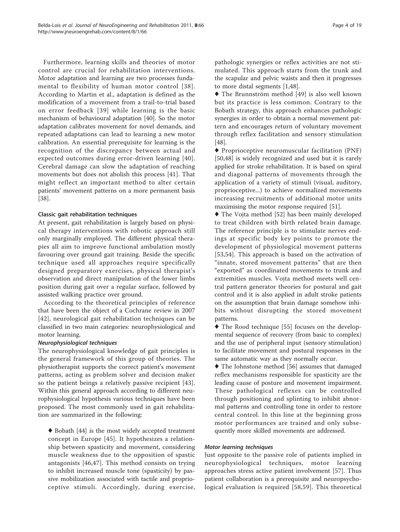Furthermore, learning skills and theories of motor control are crucial for rehabilitation interventions. Motor adaptation and learning are two processes fundamental to flexibility of human motor control [[38\]](#page-15-0). According to Martin et al., adaptation is defined as the modification of a movement from a trail-to-trial based on error feedback [[39\]](#page-15-0) while learning is the basic mechanism of behavioural adaptation [[40](#page-15-0)]. So the motor adaptation calibrates movement for novel demands, and repeated adaptations can lead to learning a new motor calibration. An essential prerequisite for learning is the recognition of the discrepancy between actual and expected outcomes during error-driven learning [[40](#page-15-0)]. Cerebral damage can slow the adaptation of reaching movements but does not abolish this process [\[41](#page-15-0)]. That might reflect an important method to alter certain patients' movement patterns on a more permanent basis [[38\]](#page-15-0).

### Classic gait rehabilitation techniques

At present, gait rehabilitation is largely based on physical therapy interventions with robotic approach still only marginally employed. The different physical therapies all aim to improve functional ambulation mostly favouring over ground gait training. Beside the specific technique used all approaches require specifically designed preparatory exercises, physical therapist's observation and direct manipulation of the lower limbs position during gait over a regular surface, followed by assisted walking practice over ground.

According to the theoretical principles of reference that have been the object of a Cochrane review in 2007 [[42](#page-15-0)], neurological gait rehabilitation techniques can be classified in two main categories: neurophysiological and motor learning.

The neurophysiological knowledge of gait principles is the general framework of this group of theories. The physiotherapist supports the correct patient's movement patterns, acting as problem solver and decision maker so the patient beings a relatively passive recipient [[43](#page-15-0)]. Within this general approach according to different neurophysiological hypothesis various techniques have been proposed. The most commonly used in gait rehabilitation are summarized in the following:

♦ Bobath [[44\]](#page-15-0) is the most widely accepted treatment concept in Europe [[45](#page-15-0)]. It hypothesizes a relationship between spasticity and movement, considering muscle weakness due to the opposition of spastic antagonists [[46,47](#page-15-0)]. This method consists on trying to inhibit increased muscle tone (spasticity) by passive mobilization associated with tactile and proprioceptive stimuli. Accordingly, during exercise, pathologic synergies or reflex activities are not stimulated. This approach starts from the trunk and the scapular and pelvic waists and then it progresses to more distal segments [[1](#page-14-0),[48](#page-15-0)].

♦ The Brunnström method [\[49](#page-15-0)] is also well known but its practice is less common. Contrary to the Bobath strategy, this approach enhances pathologic synergies in order to obtain a normal movement pattern and encourages return of voluntary movement through reflex facilitation and sensory stimulation [[48\]](#page-15-0).

♦ Proprioceptive neuromuscular facilitation (PNF) [[50,48\]](#page-15-0) is widely recognized and used but it is rarely applied for stroke rehabilitation. It is based on spiral and diagonal patterns of movements through the application of a variety of stimuli (visual, auditory, proprioceptive...) to achieve normalized movements increasing recruitments of additional motor units maximising the motor response required [[51](#page-15-0)].

♦ The Vojta method [[52](#page-15-0)] has been mainly developed to treat children with birth related brain damage. The reference principle is to stimulate nerves endings at specific body key points to promote the development of physiological movement patterns [[53,54](#page-15-0)]. This approach is based on the activation of "innate, stored movement patterns" that are then "exported" as coordinated movements to trunk and extremities muscles. Vojta method meets well central pattern generator theories for postural and gait control and it is also applied in adult stroke patients on the assumption that brain damage somehow inhibits without disrupting the stored movement patterns.

♦ The Rood technique [\[55](#page-15-0)] focuses on the developmental sequence of recovery (from basic to complex) and the use of peripheral input (sensory stimulation) to facilitate movement and postural responses in the same automatic way as they normally occur.

♦ The Johnstone method [\[56\]](#page-15-0) assumes that damaged reflex mechanisms responsible for spasticity are the leading cause of posture and movement impairment. These pathological reflexes can be controlled through positioning and splinting to inhibit abnormal patterns and controlling tone in order to restore central control. In this line at the beginning gross motor performances are trained and only subsequently more skilled movements are addressed.

Just opposite to the passive role of patients implied in neurophysiological techniques, motor learning approaches stress active patient involvement [[57\]](#page-15-0). Thus patient collaboration is a prerequisite and neuropsychological evaluation is required [[58](#page-15-0),[59\]](#page-15-0). This theoretical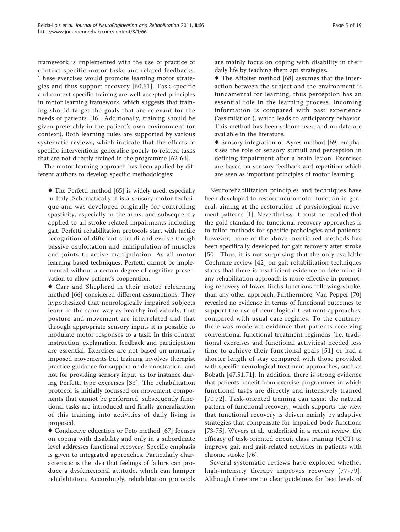framework is implemented with the use of practice of context-specific motor tasks and related feedbacks. These exercises would promote learning motor strategies and thus support recovery [[60,61\]](#page-15-0). Task-specific and context-specific training are well-accepted principles in motor learning framework, which suggests that training should target the goals that are relevant for the needs of patients [[36](#page-15-0)]. Additionally, training should be given preferably in the patient's own environment (or context). Both learning rules are supported by various systematic reviews, which indicate that the effects of specific interventions generalise poorly to related tasks that are not directly trained in the programme [[62-64\]](#page-15-0).

The motor learning approach has been applied by different authors to develop specific methodologies:

♦ The Perfetti method [\[65](#page-15-0)] is widely used, especially in Italy. Schematically it is a sensory motor technique and was developed originally for controlling spasticity, especially in the arms, and subsequently applied to all stroke related impairments including gait. Perfetti rehabilitation protocols start with tactile recognition of different stimuli and evolve trough passive exploitation and manipulation of muscles and joints to active manipulation. As all motor learning based techniques, Perfetti cannot be implemented without a certain degree of cognitive preservation to allow patient's cooperation.

♦ Carr and Shepherd in their motor relearning method [[66\]](#page-15-0) considered different assumptions. They hypothesized that neurologically impaired subjects learn in the same way as healthy individuals, that posture and movement are interrelated and that through appropriate sensory inputs it is possible to modulate motor responses to a task. In this context instruction, explanation, feedback and participation are essential. Exercises are not based on manually imposed movements but training involves therapist practice guidance for support or demonstration, and not for providing sensory input, as for instance during Perfetti type exercises [[33](#page-15-0)]. The rehabilitation protocol is initially focussed on movement components that cannot be performed, subsequently functional tasks are introduced and finally generalization of this training into activities of daily living is proposed.

♦ Conductive education or Peto method [[67\]](#page-15-0) focuses on coping with disability and only in a subordinate level addresses functional recovery. Specific emphasis is given to integrated approaches. Particularly characteristic is the idea that feelings of failure can produce a dysfunctional attitude, which can hamper rehabilitation. Accordingly, rehabilitation protocols are mainly focus on coping with disability in their daily life by teaching them apt strategies.

♦ The Affolter method [\[68](#page-15-0)] assumes that the interaction between the subject and the environment is fundamental for learning, thus perception has an essential role in the learning process. Incoming information is compared with past experience ('assimilation'), which leads to anticipatory behavior. This method has been seldom used and no data are available in the literature.

♦ Sensory integration or Ayres method [[69\]](#page-15-0) emphasises the role of sensory stimuli and perception in defining impairment after a brain lesion. Exercises are based on sensory feedback and repetition which are seen as important principles of motor learning.

Neurorehabilitation principles and techniques have been developed to restore neuromotor function in general, aiming at the restoration of physiological movement patterns [[1](#page-14-0)]. Nevertheless, it must be recalled that the gold standard for functional recovery approaches is to tailor methods for specific pathologies and patients; however, none of the above-mentioned methods has been specifically developed for gait recovery after stroke [[50\]](#page-15-0). Thus, it is not surprising that the only available Cochrane review [[42](#page-15-0)] on gait rehabilitation techniques states that there is insufficient evidence to determine if any rehabilitation approach is more effective in promoting recovery of lower limbs functions following stroke, than any other approach. Furthermore, Van Pepper [[70](#page-16-0)] revealed no evidence in terms of functional outcomes to support the use of neurological treatment approaches, compared with usual care regimes. To the contrary, there was moderate evidence that patients receiving conventional functional treatment regimens (i.e. traditional exercises and functional activities) needed less time to achieve their functional goals [[51](#page-15-0)] or had a shorter length of stay compared with those provided with specific neurological treatment approaches, such as Bobath [[47,51](#page-15-0),[71\]](#page-16-0). In addition, there is strong evidence that patients benefit from exercise programmes in which functional tasks are directly and intensively trained [[70,72\]](#page-16-0). Task-oriented training can assist the natural pattern of functional recovery, which supports the view that functional recovery is driven mainly by adaptive strategies that compensate for impaired body functions [[73-75](#page-16-0)]. Wevers at al., underlined in a recent review, the efficacy of task-oriented circuit class training (CCT) to improve gait and gait-related activities in patients with chronic stroke [\[76\]](#page-16-0).

Several systematic reviews have explored whether high-intensity therapy improves recovery [[77-79\]](#page-16-0). Although there are no clear guidelines for best levels of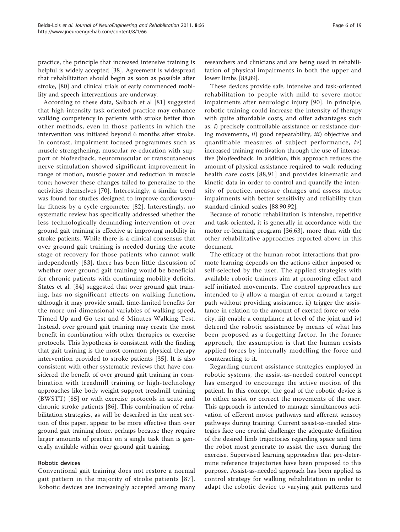practice, the principle that increased intensive training is helpful is widely accepted [[38](#page-15-0)]. Agreement is widespread that rehabilitation should begin as soon as possible after stroke, [\[80\]](#page-16-0) and clinical trials of early commenced mobility and speech interventions are underway.

According to these data, Salbach et al [\[81](#page-16-0)] suggested that high-intensity task oriented practice may enhance walking competency in patients with stroke better than other methods, even in those patients in which the intervention was initiated beyond 6 months after stroke. In contrast, impairment focused programmes such as muscle strengthening, muscular re-education with support of biofeedback, neuromuscular or transcutaneous nerve stimulation showed significant improvement in range of motion, muscle power and reduction in muscle tone; however these changes failed to generalize to the activities themselves [[70](#page-16-0)]. Interestingly, a similar trend was found for studies designed to improve cardiovascular fitness by a cycle ergometer [\[82](#page-16-0)]. Interestingly, no systematic review has specifically addressed whether the less technologically demanding intervention of over ground gait training is effective at improving mobility in stroke patients. While there is a clinical consensus that over ground gait training is needed during the acute stage of recovery for those patients who cannot walk independently [\[83\]](#page-16-0), there has been little discussion of whether over ground gait training would be beneficial for chronic patients with continuing mobility deficits. States et al. [\[84](#page-16-0)] suggested that over ground gait training, has no significant effects on walking function, although it may provide small, time-limited benefits for the more uni-dimensional variables of walking speed, Timed Up and Go test and 6 Minutes Walking Test. Instead, over ground gait training may create the most benefit in combination with other therapies or exercise protocols. This hypothesis is consistent with the finding that gait training is the most common physical therapy intervention provided to stroke patients [[35\]](#page-15-0). It is also consistent with other systematic reviews that have considered the benefit of over ground gait training in combination with treadmill training or high-technology approaches like body weight support treadmill training (BWSTT) [[85](#page-16-0)] or with exercise protocols in acute and chronic stroke patients [\[86](#page-16-0)]. This combination of rehabilitation strategies, as will be described in the next section of this paper, appear to be more effective than over ground gait training alone, perhaps because they require larger amounts of practice on a single task than is generally available within over ground gait training.

#### Robotic devices

Conventional gait training does not restore a normal gait pattern in the majority of stroke patients [[87\]](#page-16-0). Robotic devices are increasingly accepted among many

researchers and clinicians and are being used in rehabilitation of physical impairments in both the upper and lower limbs [[88,89\]](#page-16-0).

These devices provide safe, intensive and task-oriented rehabilitation to people with mild to severe motor impairments after neurologic injury [\[90\]](#page-16-0). In principle, robotic training could increase the intensity of therapy with quite affordable costs, and offer advantages such as: i) precisely controllable assistance or resistance during movements, *ii*) good repeatability, *iii*) objective and quantifiable measures of subject performance,  $iv$ ) increased training motivation through the use of interactive (bio)feedback. In addition, this approach reduces the amount of physical assistance required to walk reducing health care costs [[88](#page-16-0),[91](#page-16-0)] and provides kinematic and kinetic data in order to control and quantify the intensity of practice, measure changes and assess motor impairments with better sensitivity and reliability than standard clinical scales [[88,90,92](#page-16-0)].

Because of robotic rehabilitation is intensive, repetitive and task-oriented, it is generally in accordance with the motor re-learning program [\[36](#page-15-0),[63\]](#page-15-0), more than with the other rehabilitative approaches reported above in this document.

The efficacy of the human-robot interactions that promote learning depends on the actions either imposed or self-selected by the user. The applied strategies with available robotic trainers aim at promoting effort and self initiated movements. The control approaches are intended to i) allow a margin of error around a target path without providing assistance, ii) trigger the assistance in relation to the amount of exerted force or velocity, iii) enable a compliance at level of the joint and iv) detrend the robotic assistance by means of what has been proposed as a forgetting factor. In the former approach, the assumption is that the human resists applied forces by internally modelling the force and counteracting to it.

Regarding current assistance strategies employed in robotic systems, the assist-as-needed control concept has emerged to encourage the active motion of the patient. In this concept, the goal of the robotic device is to either assist or correct the movements of the user. This approach is intended to manage simultaneous activation of efferent motor pathways and afferent sensory pathways during training. Current assist-as-needed strategies face one crucial challenge: the adequate definition of the desired limb trajectories regarding space and time the robot must generate to assist the user during the exercise. Supervised learning approaches that pre-determine reference trajectories have been proposed to this purpose. Assist-as-needed approach has been applied as control strategy for walking rehabilitation in order to adapt the robotic device to varying gait patterns and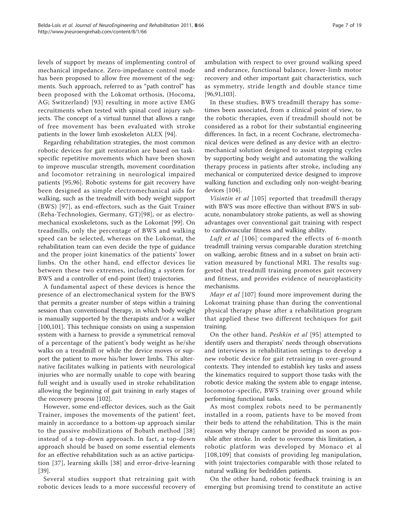levels of support by means of implementing control of mechanical impedance. Zero-impedance control mode has been proposed to allow free movement of the segments. Such approach, referred to as "path control" has been proposed with the Lokomat orthosis, (Hocoma, AG; Switzerland) [[93](#page-16-0)] resulting in more active EMG recruitments when tested with spinal cord injury subjects. The concept of a virtual tunnel that allows a range of free movement has been evaluated with stroke patients in the lower limb exoskeleton ALEX [\[94](#page-16-0)].

Regarding rehabilitation strategies, the most common robotic devices for gait restoration are based on taskspecific repetitive movements which have been shown to improve muscular strength, movement coordination and locomotor retraining in neurological impaired patients [\[95](#page-16-0),[96\]](#page-16-0). Robotic systems for gait recovery have been designed as simple electromechanical aids for walking, such as the treadmill with body weight support (BWS) [[97\]](#page-16-0), as end-effectors, such as the Gait Trainer (Reha-Technologies, Germany, GT)[\[98\]](#page-16-0), or as electromechanical exoskeletons, such as the Lokomat [[99\]](#page-16-0). On treadmills, only the percentage of BWS and walking speed can be selected, whereas on the Lokomat, the rehabilitation team can even decide the type of guidance and the proper joint kinematics of the patients' lower limbs. On the other hand, end effector devices lie between these two extremes, including a system for BWS and a controller of end-point (feet) trajectories.

A fundamental aspect of these devices is hence the presence of an electromechanical system for the BWS that permits a greater number of steps within a training session than conventional therapy, in which body weight is manually supported by the therapists and/or a walker [[100](#page-16-0),[101](#page-16-0)]. This technique consists on using a suspension system with a harness to provide a symmetrical removal of a percentage of the patient's body weight as he/she walks on a treadmill or while the device moves or support the patient to move his/her lower limbs. This alternative facilitates walking in patients with neurological injuries who are normally unable to cope with bearing full weight and is usually used in stroke rehabilitation allowing the beginning of gait training in early stages of the recovery process [[102\]](#page-16-0).

However, some end-effector devices, such as the Gait Trainer, imposes the movements of the patient' feet, mainly in accordance to a bottom-up approach similar to the passive mobilizations of Bobath method [[38](#page-15-0)] instead of a top-down approach. In fact, a top-down approach should be based on some essential elements for an effective rehabilitation such as an active participation [[37](#page-15-0)], learning skills [[38](#page-15-0)] and error-drive-learning [[39\]](#page-15-0).

Several studies support that retraining gait with robotic devices leads to a more successful recovery of ambulation with respect to over ground walking speed and endurance, functional balance, lower-limb motor recovery and other important gait characteristics, such as symmetry, stride length and double stance time [[96,91,103](#page-16-0)].

In these studies, BWS treadmill therapy has sometimes been associated, from a clinical point of view, to the robotic therapies, even if treadmill should not be considered as a robot for their substantial engineering differences. In fact, in a recent Cochrane, electromechanical devices were defined as any device with an electromechanical solution designed to assist stepping cycles by supporting body weight and automating the walking therapy process in patients after stroke, including any mechanical or computerized device designed to improve walking function and excluding only non-weight-bearing devices [\[104\]](#page-16-0).

Visintin et al <a>[[105\]](#page-16-0)</a> reported that treadmill therapy with BWS was more effective than without BWS in subacute, nonambulatory stroke patients, as well as showing advantages over conventional gait training with respect to cardiovascular fitness and walking ability.

Luft et al [[106\]](#page-16-0) compared the effects of 6-month treadmill training versus comparable duration stretching on walking, aerobic fitness and in a subset on brain activation measured by functional MRI. The results suggested that treadmill training promotes gait recovery and fitness, and provides evidence of neuroplasticity mechanisms.

Mayr et al [[107](#page-16-0)] found more improvement during the Lokomat training phase than during the conventional physical therapy phase after a rehabilitation program that applied these two different techniques for gait training.

On the other hand, Peshkin et al [[95](#page-16-0)] attempted to identify users and therapists' needs through observations and interviews in rehabilitation settings to develop a new robotic device for gait retraining in over-ground contexts. They intended to establish key tasks and assess the kinematics required to support those tasks with the robotic device making the system able to engage intense, locomotor-specific, BWS training over ground while performing functional tasks.

As most complex robots need to be permanently installed in a room, patients have to be moved from their beds to attend the rehabilitation. This is the main reason why therapy cannot be provided as soon as possible after stroke. In order to overcome this limitation, a robotic platform was developed by Monaco et al [[108,109](#page-16-0)] that consists of providing leg manipulation, with joint trajectories comparable with those related to natural walking for bedridden patients.

On the other hand, robotic feedback training is an emerging but promising trend to constitute an active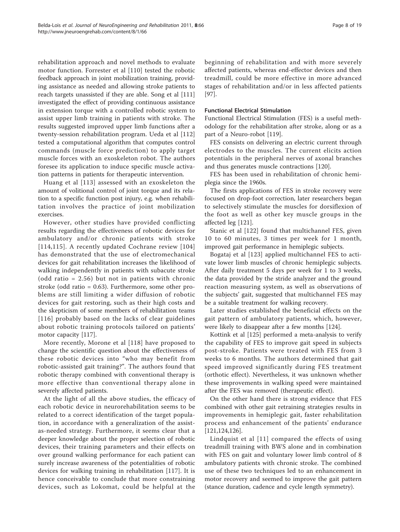rehabilitation approach and novel methods to evaluate motor function. Forrester et al [[110](#page-16-0)] tested the robotic feedback approach in joint mobilization training, providing assistance as needed and allowing stroke patients to reach targets unassisted if they are able. Song et al [[111](#page-16-0)] investigated the effect of providing continuous assistance in extension torque with a controlled robotic system to assist upper limb training in patients with stroke. The results suggested improved upper limb functions after a twenty-session rehabilitation program. Ueda et al [\[112](#page-16-0)] tested a computational algorithm that computes control commands (muscle force prediction) to apply target muscle forces with an exoskeleton robot. The authors foresee its application to induce specific muscle activation patterns in patients for therapeutic intervention.

Huang et al [\[113](#page-16-0)] assessed with an exoskeleton the amount of volitional control of joint torque and its relation to a specific function post injury, e.g. when rehabilitation involves the practice of joint mobilization exercises.

However, other studies have provided conflicting results regarding the effectiveness of robotic devices for ambulatory and/or chronic patients with stroke [[114,115\]](#page-17-0). A recently updated Cochrane review [[104](#page-16-0)] has demonstrated that the use of electromechanical devices for gait rehabilitation increases the likelihood of walking independently in patients with subacute stroke (odd ratio = 2.56) but not in patients with chronic stroke (odd ratio = 0.63). Furthermore, some other problems are still limiting a wider diffusion of robotic devices for gait restoring, such as their high costs and the skepticism of some members of rehabilitation teams [[116\]](#page-17-0) probably based on the lacks of clear guidelines about robotic training protocols tailored on patients' motor capacity [\[117\]](#page-17-0).

More recently, Morone et al [\[118\]](#page-17-0) have proposed to change the scientific question about the effectiveness of these robotic devices into "who may benefit from robotic-assisted gait training?". The authors found that robotic therapy combined with conventional therapy is more effective than conventional therapy alone in severely affected patients.

At the light of all the above studies, the efficacy of each robotic device in neurorehabilitation seems to be related to a correct identification of the target population, in accordance with a generalization of the assistas-needed strategy. Furthermore, it seems clear that a deeper knowledge about the proper selection of robotic devices, their training parameters and their effects on over ground walking performance for each patient can surely increase awareness of the potentialities of robotic devices for walking training in rehabilitation [\[117](#page-17-0)]. It is hence conceivable to conclude that more constraining devices, such as Lokomat, could be helpful at the beginning of rehabilitation and with more severely affected patients, whereas end-effector devices and then treadmill, could be more effective in more advanced stages of rehabilitation and/or in less affected patients [[97\]](#page-16-0).

#### Functional Electrical Stimulation

Functional Electrical Stimulation (FES) is a useful methodology for the rehabilitation after stroke, along or as a part of a Neuro-robot [\[119\]](#page-17-0).

FES consists on delivering an electric current through electrodes to the muscles. The current elicits action potentials in the peripheral nerves of axonal branches and thus generates muscle contractions [\[120](#page-17-0)].

FES has been used in rehabilitation of chronic hemiplegia since the 1960s.

The firsts applications of FES in stroke recovery were focused on drop-foot correction, later researchers began to selectively stimulate the muscles for dorsiflexion of the foot as well as other key muscle groups in the affected leg [[121](#page-17-0)].

Stanic et al [[122\]](#page-17-0) found that multichannel FES, given 10 to 60 minutes, 3 times per week for 1 month, improved gait performance in hemiplegic subjects.

Bogataj et al [[123](#page-17-0)] applied multichannel FES to activate lower limb muscles of chronic hemiplegic subjects. After daily treatment 5 days per week for 1 to 3 weeks, the data provided by the stride analyzer and the ground reaction measuring system, as well as observations of the subjects' gait, suggested that multichannel FES may be a suitable treatment for walking recovery.

Later studies established the beneficial effects on the gait pattern of ambulatory patients, which, however, were likely to disappear after a few months [[124\]](#page-17-0).

Kottink et al [\[125\]](#page-17-0) performed a meta-analysis to verify the capability of FES to improve gait speed in subjects post-stroke. Patients were treated with FES from 3 weeks to 6 months. The authors determined that gait speed improved significantly during FES treatment (orthotic effect). Nevertheless, it was unknown whether these improvements in walking speed were maintained after the FES was removed (therapeutic effect).

On the other hand there is strong evidence that FES combined with other gait retraining strategies results in improvements in hemiplegic gait, faster rehabilitation process and enhancement of the patients' endurance [[121,124,126](#page-17-0)].

Lindquist et al [[11](#page-14-0)] compared the effects of using treadmill training with BWS alone and in combination with FES on gait and voluntary lower limb control of 8 ambulatory patients with chronic stroke. The combined use of these two techniques led to an enhancement in motor recovery and seemed to improve the gait pattern (stance duration, cadence and cycle length symmetry).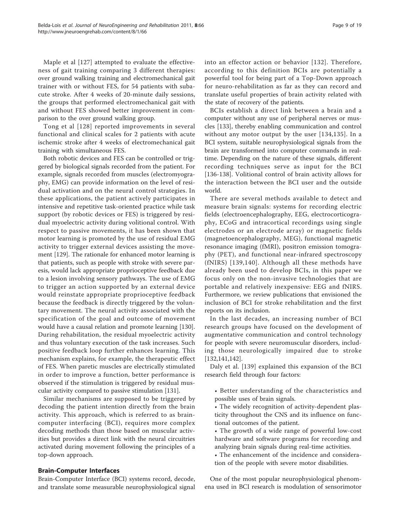Maple et al [\[127](#page-17-0)] attempted to evaluate the effectiveness of gait training comparing 3 different therapies: over ground walking training and electromechanical gait trainer with or without FES, for 54 patients with subacute stroke. After 4 weeks of 20-minute daily sessions, the groups that performed electromechanical gait with and without FES showed better improvement in comparison to the over ground walking group.

Tong et al [[128\]](#page-17-0) reported improvements in several functional and clinical scales for 2 patients with acute ischemic stroke after 4 weeks of electromechanical gait training with simultaneous FES.

Both robotic devices and FES can be controlled or triggered by biological signals recorded from the patient. For example, signals recorded from muscles (electromyography, EMG) can provide information on the level of residual activation and on the neural control strategies. In these applications, the patient actively participates in intensive and repetitive task-oriented practice while task support (by robotic devices or FES) is triggered by residual myoelectric activity during volitional control. With respect to passive movements, it has been shown that motor learning is promoted by the use of residual EMG activity to trigger external devices assisting the movement [[129\]](#page-17-0). The rationale for enhanced motor learning is that patients, such as people with stroke with severe paresis, would lack appropriate proprioceptive feedback due to a lesion involving sensory pathways. The use of EMG to trigger an action supported by an external device would reinstate appropriate proprioceptive feedback because the feedback is directly triggered by the voluntary movement. The neural activity associated with the specification of the goal and outcome of movement would have a causal relation and promote learning [\[130](#page-17-0)]. During rehabilitation, the residual myoelectric activity and thus voluntary execution of the task increases. Such positive feedback loop further enhances learning. This mechanism explains, for example, the therapeutic effect of FES. When paretic muscles are electrically stimulated in order to improve a function, better performance is observed if the stimulation is triggered by residual muscular activity compared to passive stimulation [\[131](#page-17-0)].

Similar mechanisms are supposed to be triggered by decoding the patient intention directly from the brain activity. This approach, which is referred to as braincomputer interfacing (BCI), requires more complex decoding methods than those based on muscular activities but provides a direct link with the neural circuitries activated during movement following the principles of a top-down approach.

#### Brain-Computer Interfaces

Brain-Computer Interface (BCI) systems record, decode, and translate some measurable neurophysiological signal into an effector action or behavior [[132\]](#page-17-0). Therefore, according to this definition BCIs are potentially a powerful tool for being part of a Top-Down approach for neuro-rehabilitation as far as they can record and translate useful properties of brain activity related with the state of recovery of the patients.

BCIs establish a direct link between a brain and a computer without any use of peripheral nerves or muscles [[133](#page-17-0)], thereby enabling communication and control without any motor output by the user [[134](#page-17-0),[135\]](#page-17-0). In a BCI system, suitable neurophysiological signals from the brain are transformed into computer commands in realtime. Depending on the nature of these signals, different recording techniques serve as input for the BCI [[136-138\]](#page-17-0). Volitional control of brain activity allows for the interaction between the BCI user and the outside world.

There are several methods available to detect and measure brain signals: systems for recording electric fields (electroencephalography, EEG, electrocorticography, ECoG and intracortical recordings using single electrodes or an electrode array) or magnetic fields (magnetoencephalography, MEG), functional magnetic resonance imaging (fMRI), positron emission tomography (PET), and functional near-infrared spectroscopy (fNIRS) [[139,140](#page-17-0)]. Although all these methods have already been used to develop BCIs, in this paper we focus only on the non-invasive technologies that are portable and relatively inexpensive: EEG and fNIRS. Furthermore, we review publications that envisioned the inclusion of BCI for stroke rehabilitation and the first reports on its inclusion.

In the last decades, an increasing number of BCI research groups have focused on the development of augmentative communication and control technology for people with severe neuromuscular disorders, including those neurologically impaired due to stroke [[132,141,142](#page-17-0)].

Daly et al. [[139](#page-17-0)] explained this expansion of the BCI research field through four factors:

• Better understanding of the characteristics and possible uses of brain signals.

• The widely recognition of activity-dependent plasticity throughout the CNS and its influence on functional outcomes of the patient.

• The growth of a wide range of powerful low-cost hardware and software programs for recording and analyzing brain signals during real-time activities.

• The enhancement of the incidence and consideration of the people with severe motor disabilities.

One of the most popular neurophysiological phenomena used in BCI research is modulation of sensorimotor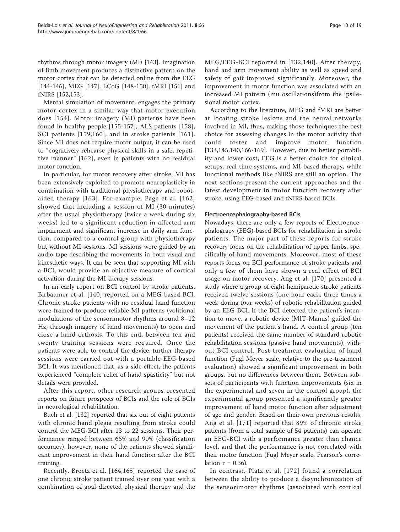rhythms through motor imagery (MI) [\[143](#page-17-0)]. Imagination of limb movement produces a distinctive pattern on the motor cortex that can be detected online from the EEG [[144-146\]](#page-17-0), MEG [\[147\]](#page-17-0), ECoG [[148](#page-17-0)-[150\]](#page-17-0), fMRI [\[151](#page-17-0)] and fNIRS [[152,153](#page-17-0)].

Mental simulation of movement, engages the primary motor cortex in a similar way that motor execution does [[154](#page-17-0)]. Motor imagery (MI) patterns have been found in healthy people [[155](#page-17-0)-[157](#page-17-0)], ALS patients [[158](#page-17-0)], SCI patients [[159,](#page-17-0)[160](#page-18-0)], and in stroke patients [[161\]](#page-18-0). Since MI does not require motor output, it can be used to "cognitively rehearse physical skills in a safe, repetitive manner" [[162\]](#page-18-0), even in patients with no residual motor function.

In particular, for motor recovery after stroke, MI has been extensively exploited to promote neuroplasticity in combination with traditional physiotherapy and robotaided therapy [[163](#page-18-0)]. For example, Page et al. [[162](#page-18-0)] showed that including a session of MI (30 minutes) after the usual physiotherapy (twice a week during six weeks) led to a significant reduction in affected arm impairment and significant increase in daily arm function, compared to a control group with physiotherapy but without MI sessions. MI sessions were guided by an audio tape describing the movements in both visual and kinesthetic ways. It can be seen that supporting MI with a BCI, would provide an objective measure of cortical activation during the MI therapy sessions.

In an early report on BCI control by stroke patients, Birbaumer et al. [\[140\]](#page-17-0) reported on a MEG-based BCI. Chronic stroke patients with no residual hand function were trained to produce reliable MI patterns (volitional modulations of the sensorimotor rhythms around 8–12 Hz, through imagery of hand movements) to open and close a hand orthosis. To this end, between ten and twenty training sessions were required. Once the patients were able to control the device, further therapy sessions were carried out with a portable EEG-based BCI. It was mentioned that, as a side effect, the patients experienced "complete relief of hand spasticity" but not details were provided.

After this report, other research groups presented reports on future prospects of BCIs and the role of BCIs in neurological rehabilitation.

Buch et al. [[132\]](#page-17-0) reported that six out of eight patients with chronic hand plegia resulting from stroke could control the MEG-BCI after 13 to 22 sessions. Their performance ranged between 65% and 90% (classification accuracy), however, none of the patients showed significant improvement in their hand function after the BCI training.

Recently, Broetz et al. [\[164](#page-18-0),[165](#page-18-0)] reported the case of one chronic stroke patient trained over one year with a combination of goal-directed physical therapy and the MEG/EEG-BCI reported in [[132,140\]](#page-17-0). After therapy, hand and arm movement ability as well as speed and safety of gait improved significantly. Moreover, the improvement in motor function was associated with an increased MI pattern (mu oscillations)from the ipsilesional motor cortex.

According to the literature, MEG and fMRI are better at locating stroke lesions and the neural networks involved in MI, thus, making those techniques the best choice for assessing changes in the motor activity that could foster and improve motor function [[133,145,140](#page-17-0)[,166-169](#page-18-0)]. However, due to better portability and lower cost, EEG is a better choice for clinical setups, real time systems, and MI-based therapy, while functional methods like fNIRS are still an option. The next sections present the current approaches and the latest development in motor function recovery after stroke, using EEG-based and fNIRS-based BCIs.

#### Electroencephalography-based BCIs

Nowadays, there are only a few reports of Electroencephalograpy (EEG)-based BCIs for rehabilitation in stroke patients. The major part of these reports for stroke recovery focus on the rehabilitation of upper limbs, specifically of hand movements. Moreover, most of these reports focus on BCI performance of stroke patients and only a few of them have shown a real effect of BCI usage on motor recovery. Ang et al. [[170](#page-18-0)] presented a study where a group of eight hemiparetic stroke patients received twelve sessions (one hour each, three times a week during four weeks) of robotic rehabilitation guided by an EEG-BCI. If the BCI detected the patient's intention to move, a robotic device (MIT-Manus) guided the movement of the patient's hand. A control group (ten patients) received the same number of standard robotic rehabilitation sessions (passive hand movements), without BCI control. Post-treatment evaluation of hand function (Fugl Meyer scale, relative to the pre-treatment evaluation) showed a significant improvement in both groups, but no differences between them. Between subsets of participants with function improvements (six in the experimental and seven in the control group), the experimental group presented a significantly greater improvement of hand motor function after adjustment of age and gender. Based on their own previous results, Ang et al. [[171\]](#page-18-0) reported that 89% of chronic stroke patients (from a total sample of 54 patients) can operate an EEG-BCI with a performance greater than chance level, and that the performance is not correlated with their motor function (Fugl Meyer scale, Pearson's correlation  $r = 0.36$ ).

In contrast, Platz et al. [[172\]](#page-18-0) found a correlation between the ability to produce a desynchronization of the sensorimotor rhythms (associated with cortical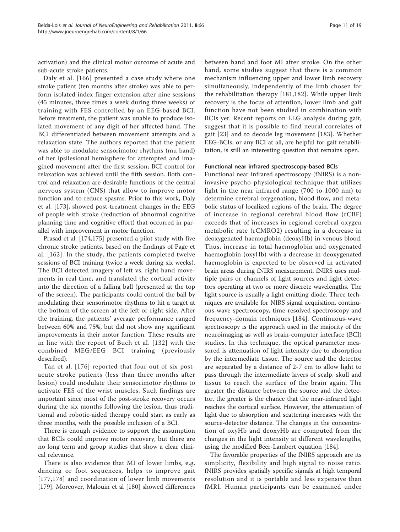activation) and the clinical motor outcome of acute and sub-acute stroke patients.

Daly et al. [[166](#page-18-0)] presented a case study where one stroke patient (ten months after stroke) was able to perform isolated index finger extension after nine sessions (45 minutes, three times a week during three weeks) of training with FES controlled by an EEG-based BCI. Before treatment, the patient was unable to produce isolated movement of any digit of her affected hand. The BCI differentiated between movement attempts and a relaxation state. The authors reported that the patient was able to modulate sensorimotor rhythms (mu band) of her ipsilesional hemisphere for attempted and imagined movement after the first session; BCI control for relaxation was achieved until the fifth session. Both control and relaxation are desirable functions of the central nervous system (CNS) that allow to improve motor function and to reduce spasms. Prior to this work, Daly et al. [[173\]](#page-18-0), showed post-treatment changes in the EEG of people with stroke (reduction of abnormal cognitive planning time and cognitive effort) that occurred in parallel with improvement in motor function.

Prasad et al. [[174](#page-18-0),[175](#page-18-0)] presented a pilot study with five chronic stroke patients, based on the findings of Page et al. [[162](#page-18-0)]. In the study, the patients completed twelve sessions of BCI training (twice a week during six weeks). The BCI detected imagery of left vs. right hand movements in real time, and translated the cortical activity into the direction of a falling ball (presented at the top of the screen). The participants could control the ball by modulating their sensorimotor rhythms to hit a target at the bottom of the screen at the left or right side. After the training, the patients' average performance ranged between 60% and 75%, but did not show any significant improvements in their motor function. These results are in line with the report of Buch et al. [[132](#page-17-0)] with the combined MEG/EEG BCI training (previously described).

Tan et al. [[176\]](#page-18-0) reported that four out of six postacute stroke patients (less than three months after lesion) could modulate their sensorimotor rhythms to activate FES of the wrist muscles. Such findings are important since most of the post-stroke recovery occurs during the six months following the lesion, thus traditional and robotic-aided therapy could start as early as three months, with the possible inclusion of a BCI.

There is enough evidence to support the assumption that BCIs could improve motor recovery, but there are no long term and group studies that show a clear clinical relevance.

There is also evidence that MI of lower limbs, e.g. dancing or foot sequences, helps to improve gait [[177,178\]](#page-18-0) and coordination of lower limb movements [[179\]](#page-18-0). Moreover, Malouin et al [\[180\]](#page-18-0) showed differences between hand and foot MI after stroke. On the other hand, some studies suggest that there is a common mechanism influencing upper and lower limb recovery simultaneously, independently of the limb chosen for the rehabilitation therapy [\[181,182](#page-18-0)]. While upper limb recovery is the focus of attention, lower limb and gait function have not been studied in combination with BCIs yet. Recent reports on EEG analysis during gait, suggest that it is possible to find neural correlates of gait [\[23](#page-15-0)] and to decode leg movement [[183\]](#page-18-0). Whether EEG-BCIs, or any BCI at all, are helpful for gait rehabilitation, is still an interesting question that remains open.

#### Functional near infrared spectroscopy-based BCIs

Functional near infrared spectroscopy (fNIRS) is a noninvasive psycho-physiological technique that utilizes light in the near infrared range (700 to 1000 nm) to determine cerebral oxygenation, blood flow, and metabolic status of localized regions of the brain. The degree of increase in regional cerebral blood flow (rCBF) exceeds that of increases in regional cerebral oxygen metabolic rate (rCMRO2) resulting in a decrease in deoxygenated haemoglobin (deoxyHb) in venous blood. Thus, increase in total haemoglobin and oxygenated haemoglobin (oxyHb) with a decrease in deoxygenated haemoglobin is expected to be observed in activated brain areas during fNIRS measurement. fNIRS uses multiple pairs or channels of light sources and light detectors operating at two or more discrete wavelengths. The light source is usually a light emitting diode. Three techniques are available for NIRS signal acquisition, continuous-wave spectroscopy, time-resolved spectroscopy and frequency-domain techniques [\[184\]](#page-18-0). Continuous-wave spectroscopy is the approach used in the majority of the neuroimaging as well as brain-computer interface (BCI) studies. In this technique, the optical parameter measured is attenuation of light intensity due to absorption by the intermediate tissue. The source and the detector are separated by a distance of 2-7 cm to allow light to pass through the intermediate layers of scalp, skull and tissue to reach the surface of the brain again. The greater the distance between the source and the detector, the greater is the chance that the near-infrared light reaches the cortical surface. However, the attenuation of light due to absorption and scattering increases with the source-detector distance. The changes in the concentration of oxyHb and deoxyHb are computed from the changes in the light intensity at different wavelengths, using the modified Beer-Lambert equation [[184\]](#page-18-0).

The favorable properties of the fNIRS approach are its simplicity, flexibility and high signal to noise ratio. fNIRS provides spatially specific signals at high temporal resolution and it is portable and less expensive than fMRI. Human participants can be examined under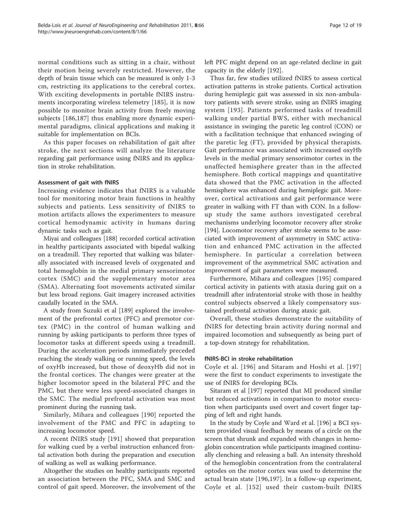normal conditions such as sitting in a chair, without their motion being severely restricted. However, the depth of brain tissue which can be measured is only 1-3 cm, restricting its applications to the cerebral cortex. With exciting developments in portable fNIRS instruments incorporating wireless telemetry [\[185](#page-18-0)], it is now possible to monitor brain activity from freely moving subjects [[186,187](#page-18-0)] thus enabling more dynamic experimental paradigms, clinical applications and making it suitable for implementation on BCIs.

As this paper focuses on rehabilitation of gait after stroke, the next sections will analyze the literature regarding gait performance using fNIRS and its application in stroke rehabilitation.

#### Assessment of gait with fNIRS

Increasing evidence indicates that fNIRS is a valuable tool for monitoring motor brain functions in healthy subjects and patients. Less sensitivity of fNIRS to motion artifacts allows the experimenters to measure cortical hemodynamic activity in humans during dynamic tasks such as gait.

Miyai and colleagues [\[188\]](#page-18-0) recorded cortical activation in healthy participants associated with bipedal walking on a treadmill. They reported that walking was bilaterally associated with increased levels of oxygenated and total hemoglobin in the medial primary sensorimotor cortex (SMC) and the supplementary motor area (SMA). Alternating foot movements activated similar but less broad regions. Gait imagery increased activities caudally located in the SMA.

A study from Suzuki et al [\[189](#page-18-0)] explored the involvement of the prefrontal cortex (PFC) and premotor cortex (PMC) in the control of human walking and running by asking participants to perform three types of locomotor tasks at different speeds using a treadmill. During the acceleration periods immediately preceded reaching the steady walking or running speed, the levels of oxyHb increased, but those of deoxyHb did not in the frontal cortices. The changes were greater at the higher locomotor speed in the bilateral PFC and the PMC, but there were less speed-associated changes in the SMC. The medial prefrontal activation was most prominent during the running task.

Similarly, Mihara and colleagues [[190\]](#page-18-0) reported the involvement of the PMC and PFC in adapting to increasing locomotor speed.

A recent fNIRS study [[191](#page-18-0)] showed that preparation for walking cued by a verbal instruction enhanced frontal activation both during the preparation and execution of walking as well as walking performance.

Altogether the studies on healthy participants reported an association between the PFC, SMA and SMC and control of gait speed. Moreover, the involvement of the left PFC might depend on an age-related decline in gait capacity in the elderly [\[192](#page-18-0)].

Thus far, few studies utilized fNIRS to assess cortical activation patterns in stroke patients. Cortical activation during hemiplegic gait was assessed in six non-ambulatory patients with severe stroke, using an fNIRS imaging system [[193\]](#page-18-0). Patients performed tasks of treadmill walking under partial BWS, either with mechanical assistance in swinging the paretic leg control (CON) or with a facilitation technique that enhanced swinging of the paretic leg (FT), provided by physical therapists. Gait performance was associated with increased oxyHb levels in the medial primary sensorimotor cortex in the unaffected hemisphere greater than in the affected hemisphere. Both cortical mappings and quantitative data showed that the PMC activation in the affected hemisphere was enhanced during hemiplegic gait. Moreover, cortical activations and gait performance were greater in walking with FT than with CON. In a followup study the same authors investigated cerebral mechanisms underlying locomotor recovery after stroke [[194\]](#page-18-0). Locomotor recovery after stroke seems to be associated with improvement of asymmetry in SMC activation and enhanced PMC activation in the affected hemisphere. In particular a correlation between improvement of the asymmetrical SMC activation and improvement of gait parameters were measured.

Furthermore, Mihara and colleagues [[195](#page-18-0)] compared cortical activity in patients with ataxia during gait on a treadmill after infratentorial stroke with those in healthy control subjects observed a likely compensatory sustained prefrontal activation during ataxic gait.

Overall, these studies demonstrate the suitability of fNIRS for detecting brain activity during normal and impaired locomotion and subsequently as being part of a top-down strategy for rehabilitation.

#### fNIRS-BCI in stroke rehabilitation

Coyle et al. [[196\]](#page-18-0) and Sitaram and Hoshi et al. [[197](#page-18-0)] were the first to conduct experiments to investigate the use of fNIRS for developing BCIs.

Sitaram et al [[197](#page-18-0)] reported that MI produced similar but reduced activations in comparison to motor execution when participants used overt and covert finger tapping of left and right hands.

In the study by Coyle and Ward et al. [\[196](#page-18-0)] a BCI system provided visual feedback by means of a circle on the screen that shrunk and expanded with changes in hemoglobin concentration while participants imagined continually clenching and releasing a ball. An intensity threshold of the hemoglobin concentration from the contralateral optodes on the motor cortex was used to determine the actual brain state [[196](#page-18-0),[197\]](#page-18-0). In a follow-up experiment, Coyle et al. [\[152](#page-17-0)] used their custom-built fNIRS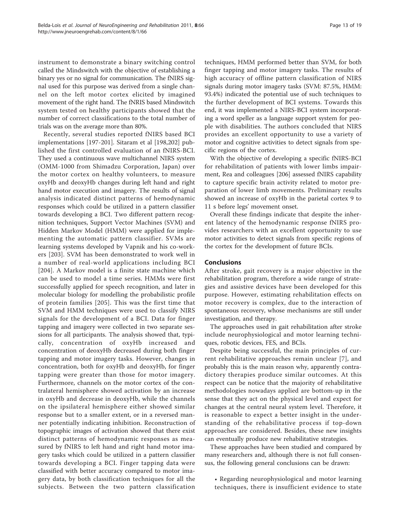instrument to demonstrate a binary switching control called the Mindswitch with the objective of establishing a binary yes or no signal for communication. The fNIRS signal used for this purpose was derived from a single channel on the left motor cortex elicited by imagined movement of the right hand. The fNRIS based Mindswitch system tested on healthy participants showed that the number of correct classifications to the total number of trials was on the average more than 80%.

Recently, several studies reported fNIRS based BCI implementations [[197-201](#page-18-0)]. Sitaram et al [\[198,202\]](#page-18-0) published the first controlled evaluation of an fNIRS-BCI. They used a continuous wave multichannel NIRS system (OMM-1000 from Shimadzu Corporation, Japan) over the motor cortex on healthy volunteers, to measure oxyHb and deoxyHb changes during left hand and right hand motor execution and imagery. The results of signal analysis indicated distinct patterns of hemodynamic responses which could be utilized in a pattern classifier towards developing a BCI. Two different pattern recognition techniques, Support Vector Machines (SVM) and Hidden Markov Model (HMM) were applied for implementing the automatic pattern classifier. SVMs are learning systems developed by Vapnik and his co-workers [[203\]](#page-19-0). SVM has been demonstrated to work well in a number of real-world applications including BCI [[204](#page-19-0)]. A Markov model is a finite state machine which can be used to model a time series. HMMs were first successfully applied for speech recognition, and later in molecular biology for modelling the probabilistic profile of protein families [[205](#page-19-0)]. This was the first time that SVM and HMM techniques were used to classify NIRS signals for the development of a BCI. Data for finger tapping and imagery were collected in two separate sessions for all participants. The analysis showed that, typically, concentration of oxyHb increased and concentration of deoxyHb decreased during both finger tapping and motor imagery tasks. However, changes in concentration, both for oxyHb and deoxyHb, for finger tapping were greater than those for motor imagery. Furthermore, channels on the motor cortex of the contralateral hemisphere showed activation by an increase in oxyHb and decrease in deoxyHb, while the channels on the ipsilateral hemisphere either showed similar response but to a smaller extent, or in a reversed manner potentially indicating inhibition. Reconstruction of topographic images of activation showed that there exist distinct patterns of hemodynamic responses as measured by fNIRS to left hand and right hand motor imagery tasks which could be utilized in a pattern classifier towards developing a BCI. Finger tapping data were classified with better accuracy compared to motor imagery data, by both classification techniques for all the subjects. Between the two pattern classification

techniques, HMM performed better than SVM, for both finger tapping and motor imagery tasks. The results of high accuracy of offline pattern classification of NIRS signals during motor imagery tasks (SVM: 87.5%, HMM: 93.4%) indicated the potential use of such techniques to the further development of BCI systems. Towards this end, it was implemented a NIRS-BCI system incorporating a word speller as a language support system for people with disabilities. The authors concluded that NIRS provides an excellent opportunity to use a variety of motor and cognitive activities to detect signals from specific regions of the cortex.

With the objective of developing a specific fNIRS-BCI for rehabilitation of patients with lower limbs impairment, Rea and colleagues [[206\]](#page-19-0) assessed fNIRS capability to capture specific brain activity related to motor preparation of lower limb movements. Preliminary results showed an increase of oxyHb in the parietal cortex 9 to 11 s before legs' movement onset.

Overall these findings indicate that despite the inherent latency of the hemodynamic response fNIRS provides researchers with an excellent opportunity to use motor activities to detect signals from specific regions of the cortex for the development of future BCIs.

#### Conclusions

After stroke, gait recovery is a major objective in the rehabilitation program, therefore a wide range of strategies and assistive devices have been developed for this purpose. However, estimating rehabilitation effects on motor recovery is complex, due to the interaction of spontaneous recovery, whose mechanisms are still under investigation, and therapy.

The approaches used in gait rehabilitation after stroke include neurophysiological and motor learning techniques, robotic devices, FES, and BCIs.

Despite being successful, the main principles of current rehabilitative approaches remain unclear [[7\]](#page-14-0), and probably this is the main reason why, apparently contradictory therapies produce similar outcomes. At this respect can be notice that the majority of rehabilitative methodologies nowadays applied are bottom-up in the sense that they act on the physical level and expect for changes at the central neural system level. Therefore, it is reasonable to expect a better insight in the understanding of the rehabilitative process if top-down approaches are considered. Besides, these new insights can eventually produce new rehabilitative strategies.

These approaches have been studied and compared by many researchers and, although there is not full consensus, the following general conclusions can be drawn:

• Regarding neurophysiological and motor learning techniques, there is insufficient evidence to state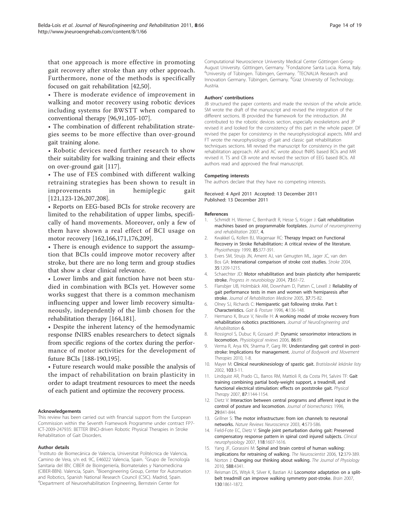<span id="page-14-0"></span>that one approach is more effective in promoting gait recovery after stroke than any other approach. Furthermore, none of the methods is specifically focused on gait rehabilitation [\[42,50\]](#page-15-0).

• There is moderate evidence of improvement in walking and motor recovery using robotic devices including systems for BWSTT when compared to conventional therapy [[96,91](#page-16-0),[105](#page-16-0)-[107](#page-16-0)].

• The combination of different rehabilitation strategies seems to be more effective than over-ground gait training alone.

• Robotic devices need further research to show their suitability for walking training and their effects on over-ground gait [\[117\]](#page-17-0).

• The use of FES combined with different walking retraining strategies has been shown to result in improvements in hemiplegic gait [[121](#page-17-0),[123](#page-17-0)-[126](#page-17-0),[207,208\]](#page-19-0).

• Reports on EEG-based BCIs for stroke recovery are limited to the rehabilitation of upper limbs, specifically of hand movements. Moreover, only a few of them have shown a real effect of BCI usage on motor recovery [[162](#page-18-0),[166,171,176,](#page-18-0)[209\]](#page-19-0).

• There is enough evidence to support the assumption that BCIs could improve motor recovery after stroke, but there are no long term and group studies that show a clear clinical relevance.

• Lower limbs and gait function have not been studied in combination with BCIs yet. However some works suggest that there is a common mechanism influencing upper and lower limb recovery simultaneously, independently of the limb chosen for the rehabilitation therapy [[164](#page-18-0),[181](#page-18-0)].

• Despite the inherent latency of the hemodynamic response fNIRS enables researchers to detect signals from specific regions of the cortex during the performance of motor activities for the development of future BCIs [\[188-190,195\]](#page-18-0).

• Future research would make possible the analysis of the impact of rehabilitation on brain plasticity in order to adapt treatment resources to meet the needs of each patient and optimize the recovery process.

#### Acknowledgements

This review has been carried out with financial support from the European Commission within the Seventh Framework Programme under contract FP7- ICT-2009-247935: BETTER BNCI-driven Robotic Physical Therapies in Stroke Rehabilitation of Gait Disorders.

#### Author details

<sup>1</sup>Instituto de Biomecánica de Valencia, Universitat Politécnica de Valencia, Camino de Vera, s/n ed. 9C, E46022 Valencia, Spain. <sup>2</sup>Grupo de Tecnología Sanitaria del IBV, CIBER de Bioingeniería, Biomateriales y Nanomedicina (CIBER-BBN). Valencia, Spain. <sup>3</sup>Bioengineering Group, Center for Automation and Robotics, Spanish National Research Council (CSIC). Madrid, Spain. 4 Department of Neurorehabilitation Engineering, Bernstein Center for

Computational Neuroscience University Medical Center Göttingen Georg-August University. Göttingen, Germany. <sup>5</sup>Fondazione Santa Lucia. Roma, Italy<br><sup>6</sup>Llniversity of Tübingen, Tübingen, Germany, <sup>7</sup>TECNALLA Besearch and University of Tübingen. Tübingen, Germany. <sup>7</sup>TECNALIA Research and Innovation Germany. Tübingen, Germany. <sup>8</sup>Graz University of Technology Austria.

#### Authors' contributions

JB structured the paper contents and made the revision of the whole article. SM wrote the draft of the manuscript and revised the integration of the different sections. IB provided the framework for the introduction. JM contributed to the robotic devices section, especially exoskeletons and JP revised it and looked for the consistency of this part in the whole paper. DF revised the paper for consistency in the neurophysiological aspects. MM and FT wrote the neurophysiology of gait and classic gait rehabilitation techniques sections. MI revised the manuscript for consistency in the gait rehabilitation approach. AR and AC wrote about fNIRS based BCIs and MR revised it. TS and CB wrote and revised the section of EEG based BCIs. All authors read and approved the final manuscript.

#### Competing interests

The authors declare that they have no competing interests.

Received: 4 April 2011 Accepted: 13 December 2011 Published: 13 December 2011

#### References

- 1. Schmidt H, Werner C, Bernhardt R, Hesse S, Krüger J: Gait rehabilitation machines based on programmable footplates. Journal of neuroengineering and rehabilitation 2007, 4.
- 2. Kwakkel G, Kollen BJ, Wagenaar RC: Therapy Impact on Functional Recovery in Stroke Rehabilitation:: A critical review of the literature. Physiotherapy 1999, 85:377-391.
- 3. Evers SM, Struijs JN, Ament AJ, van Genugten ML, Jager JC, van den Bos GA: International comparison of stroke cost studies. Stroke 2004, 35:1209-1215.
- 4. Schaechter JD: Motor rehabilitation and brain plasticity after hemiparetic stroke. Progress in neurobiology 2004, 73:61-72.
- 5. Flansbjer UB, Holmbäck AM, Downham D, Patten C, Lexell J: Reliability of gait performance tests in men and women with hemiparesis after stroke. Journal of Rehabilitation Medicine 2005, 37:75-82.
- 6. Olney SJ, Richards C: Hemiparetic gait following stroke. Part I: Characteristics. Gait & Posture 1996, 4:136-148.
- 7. Hermano K, Bruce V, Neville H: A working model of stroke recovery from rehabilitation robotics practitioners. Journal of NeuroEngineering and Rehabilitation 6.
- 8. Rossignol S, Dubuc R, Gossard JP: Dynamic sensorimotor interactions in locomotion. Physiological reviews 2006, 86:89.
- 9. Verma R, Arya KN, Sharma P, Garg RK: Understanding gait control in poststroke: Implications for management. Journal of Bodywork and Movement Therapies 2010, 1-8.
- 10. Mayer M: Clinical neurokinesiology of spastic gait. Bratislavské lekárske listy 2002, 103:3-11.
- 11. Lindquist AR, Prado CL, Barros RM, Mattioli R, da Costa PH, Salvini TF: Gait training combining partial body-weight support, a treadmill, and functional electrical stimulation: effects on poststroke gait. Physical Therapy 2007, 87:1144-1154.
- 12. Dietz V: Interaction between central programs and afferent input in the control of posture and locomotion. Journal of biomechanics 1996, 29:841-844.
- 13. Grillner S: The motor infrastructure: from ion channels to neuronal networks. Nature Reviews Neuroscience 2003, 4:573-586.
- 14. Field-Fote EC, Dietz V: Single joint perturbation during gait: Preserved compensatory response pattern in spinal cord injured subjects. Clinical neurophysiology 2007, 118:1607-1616.
- 15. Yang JF, Gorassini M: Spinal and brain control of human walking: implications for retraining of walking. The Neuroscientist 2006, 12:379-389.
- 16. Norton J: Changing our thinking about walking. The Journal of Physiology 2010, 588:4341.
- 17. Reisman DS, Wityk R, Silver K, Bastian AJ: Locomotor adaptation on a splitbelt treadmill can improve walking symmetry post-stroke. Brain 2007, 130:1861-1872.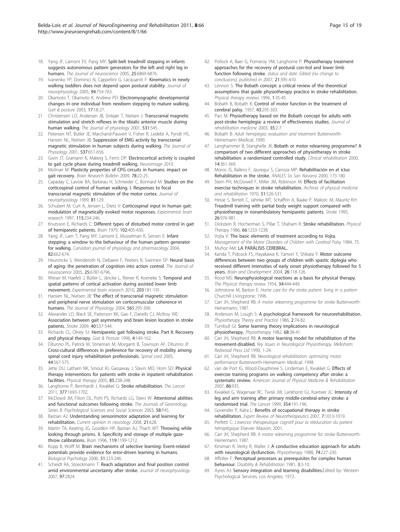- <span id="page-15-0"></span>18. Yang JF, Lamont EV, Pang MY: Split-belt treadmill stepping in infants suggests autonomous pattern generators for the left and right leg in humans. The Journal of neuroscience 2005, 25:6869-6876.
- 19. Ivanenko YP, Dominici N, Cappellini G, Lacquaniti F: Kinematics in newly walking toddlers does not depend upon postural stability. Journal of neurophysiology 2005, 94:754-763.
- 20. Okamoto T, Okamoto K, Andrew PD: Electromyographic developmental changes in one individual from newborn stepping to mature walking. Gait & posture 2003, 17:18-27.
- 21. Christensen LO, Andersen JB, Sinkjær T, Nielsen J: Transcranial magnetic stimulation and stretch reflexes in the tibialis anterior muscle during human walking. The Journal of physiology 2001, 531:545.
- 22. Petersen NT, Butler JE, Marchand-Pauvert V, Fisher R, Ledebt A, Pyndt HS, Hansen NL, Nielsen JB: Suppression of EMG activity by transcranial magnetic stimulation in human subjects during walking. The Journal of Physiology 2001, 537:651-656.
- 23. Gwin JT, Gramann K, Makeig S, Ferris DP: Electrocortical activity is coupled to gait cycle phase during treadmill walking. Neuroimage 2010.
- 24. Molinari M: Plasticity properties of CPG circuits in humans: impact on gait recovery. Brain Research Bulletin 2009, 78:22-25.
- 25. Capaday C, Lavoie BA, Barbeau H, Schneider C, Bonnard M: Studies on the corticospinal control of human walking. I. Responses to focal transcranial magnetic stimulation of the motor cortex. Journal of neurophysiology 1999, 81:129.
- 26. Schubert M, Curt A, Jensen L, Dietz V: Corticospinal input in human gait: modulation of magnetically evoked motor responses. Experimental brain research 1997, 115:234-246.
- 27. Knutsson E, Richards C: Different types of disturbed motor control in gait of hemiparetic patients. Brain 1979, 102:405-430.
- 28. Yang JF, Lam T, Pang MY, Lamont E, Musselman K, Seinen E: Infant stepping: a window to the behaviour of the human pattern generator for walking. Canadian journal of physiology and pharmacology 2004, 82:662-674.
- 29. Heuninckx S, Wenderoth N, Debaere F, Peeters R, Swinnen SP: Neural basis of aging: the penetration of cognition into action control. The Journal of neuroscience 2005, 25:6787-6796.
- 30. Wieser M, Haefeli J, Bütler L, Jäncke L, Riener R, Koeneke S: Temporal and spatial patterns of cortical activation during assisted lower limb movement. Experimental brain research 2010, 203:181-191.
- 31. Hansen NL, Nielsen JB: The effect of transcranial magnetic stimulation and peripheral nerve stimulation on corticomuscular coherence in humans. The Journal of Physiology 2004, 561:295-306.
- 32. Alexander LD, Black SE, Patterson KK, Gao F, Danells CJ, McIlroy WE: Association between gait asymmetry and brain lesion location in stroke patients. Stroke 2009, 40:537-544.
- 33. Richards CL, Olney SJ: Hemiparetic gait following stroke. Part II: Recovery and physical therapy. Gait & Posture 1996, 4:149-162.
- 34. Ditunno PL, Patrick M, Stineman M, Morganti B, Townson AF, Ditunno JF: Cross-cultural differences in preference for recovery of mobility among spinal cord injury rehabilitation professionals. Spinal cord 2005, 44:567-575.
- 35. Jette DU, Latham NK, Smout RJ, Gassaway J, Slavin MD, Horn SD: Physical therapy interventions for patients with stroke in inpatient rehabilitation facilities. Physical therapy 2005, 85:238-248.
- 36. Langhorne P, Bernhardt J, Kwakkel G: Stroke rehabilitation. The Lancet 2011, 377:1693-1702.
- 37. McDowd JM, Filion DL, Pohl PS, Richards LG, Stiers W: Attentional abilities and functional outcomes following stroke. The Journals of Gerontology Series B: Psychological Sciences and Social Sciences 2003, 58:P45.
- 38. Bastian AJ: Understanding sensorimotor adaptation and learning for rehabilitation. Current opinion in neurology 2008, 21:628.
- 39. Martin TA, Keating JG, Goodkin HP, Bastian AJ, Thach WT: Throwing while looking through prisms. II. Specificity and storage of multiple gazethrow calibrations. Brain 1996, 119:1199-1212.
- 40. Kopp B, Wolff M: Brain mechanisms of selective learning: Event-related potentials provide evidence for error-driven learning in humans. Biological Psychology 2000, 51:223-246.
- 41. Scheidt RA, Stoeckmann T: Reach adaptation and final position control amid environmental uncertainty after stroke. Journal of neurophysiology 2007, 97:2824.
- 42. Pollock A, Baer G, Pomeroy VM, Langhorne P: Physiotherapy treatment approaches for the recovery of postural con-trol and lower limb function following stroke. status and date: Edited (no change to conclusions), published in 2007, 21:395-410.
- 43. Lennon S: The Bobath concept: a critical review of the theoretical assumptions that guide physiotherapy practice in stroke rehabilitation. Physical therapy reviews 1996, 1:35-45.
- 44. Bobath B, Bobath K: Control of motor function in the treatment of cerebral palsy. 1957, 43:295-303.
- 45. Paci M: Physiotherapy based on the Bobath concept for adults with post-stroke hemiplegia: a review of effectiveness studies. Journal of rehabilitation medicine 2003, 35:2-7.
- 46. Bobath B: Adult hemiplegia: evaluation and treatment Butterworth-Heinemann Medical; 1990.
- 47. Langhammer B, Stanghelle JK: Bobath or motor relearning programme? A comparison of two different approaches of physiotherapy in stroke rehabilitation: a randomized controlled study. Clinical rehabilitation 2000, 14:361-369.
- 48. Moros JS, Ballero F, Jáuregui S, Carroza MP: Rehabilitación en el ictus Rehabilitation in the stroke. ANALES Sis San Navarra 2000, 173-180.
- 49. Stern PH, McDowell F, Miller JM, Robinson M: Effects of facilitation exercise techniques in stroke rehabilitation. Archives of physical medicine and rehabilitation 1970, 51:526-531.
- 50. Hesse S, Bertelt C, Jahnke MT, Schaffrin A, Baake P, Malezic M, Mauritz KH: Treadmill training with partial body weight support compared with physiotherapy in nonambulatory hemiparetic patients. Stroke 1995, 26:976-981.
- 51. Dickstein R, Hocherman S, Pillar T, Shaham R: Stroke rehabilitation. Physical Therapy 1986, 66:1233-1238.
- 52. Vojta V: The basic elements of treatment according to Vojta. Management of the Motor Disorders of Children with Cerebral Palsy 1984, 75.
- 53. Muñoz AM: LA PARÁLISIS CEREBRAL..
- 54. Kanda T, Pidcock FS, Hayakawa K, Yamori Y, Shikata Y: Motor outcome differences between two groups of children with spastic diplegia who received different intensities of early onset physiotherapy followed for 5 years. Brain and Development 2004, 26:118-126.
- 55. Rood MS: Neurophysiological reactions as a basis for physical therapy. The Physical therapy review 1954, 34:444-449.
- 56. Johnstone M, Barton E: Home care for the stroke patient: living in a pattern Churchill Livingstone; 1996.
- 57. Carr JH, Shepherd RB: A motor relearning programme for stroke Butterworth-Heinemann; 1987.
- 58. Anderson M, Lough S: A psychological framework for neurorehabilitation. Physiotherapy Theory and Practice 1986, 2:74-82.
- 59. Turnbull GI: Some learning theory implications in neurological physiotherapy. Physiotherapy 1982, 68:38-41.
- 60. Carr JH, Shepherd RB: A motor learning model for rehabilitation of the movement-disabled. Key Issues in Neurological Physiotherapy. Melksham: Redwood Press Ltd 1990, 1-24.
- 61. Carr JH, Shepherd RB: Neurological rehabilitation: optimizing motor performance Butterworth-Heinemann Medical; 1998.
- 62. van de Port IG, Wood-Dauphinee S, Lindeman E, Kwakkel G: Effects of exercise training programs on walking competency after stroke: a systematic review. American Journal of Physical Medicine & Rehabilitation 2007, 86:935.
- 63. Kwakkel G, Wagenaar RC, Twisk JW, Lankhorst GJ, Koetsier JC: Intensity of leg and arm training after primary middle-cerebral-artery stroke: a randomised trial. The Lancet 1999, 354:191-196.
- 64. Govender P, Kalra L: Benefits of occupational therapy in stroke rehabilitation. Expert Review of Neurotherapeutics 2007, 7:1013-1019.
- 65. Perfetti C: L'exercice thérapeutique cognitif pour la rééducation du patient hémiplégique Elsevier Masson; 2001.
- 66. Carr JH, Shepherd RB: A motor relearning programme for stroke Butterworth-Heinemann; 1987.
- Kinsman R, Verity R, Waller J: A conductive education approach for adults with neurological dysfunction. Physiotherapy 1988, 74:227-230.
- 68. Affolter F: Perceptual processes as prerequisites for complex human behaviour. Disability & Rehabilitation 1981, 3:3-10.
- 69. Ayres AJ: Sensory integration and learning disabilities.Edited by: Western Psychological Services. Los Angeles; 1972:.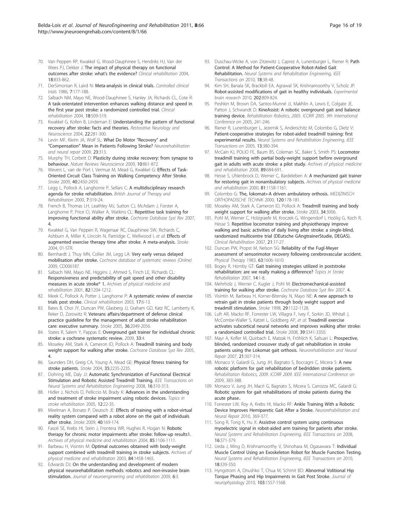- <span id="page-16-0"></span>70. Van Peppen RP, Kwakkel G, Wood-Dauphinee S, Hendriks HJ, Van der Wees PJ, Dekker J: The impact of physical therapy on functional outcomes after stroke: what's the evidence? Clinical rehabilitation 2004, 18:833-862.
- 71. DerSimonian R, Laird N: Meta-analysis in clinical trials. Controlled clinical trials 1986, 7:177-188.
- 72. Salbach NM, Mayo NE, Wood-Dauphinee S, Hanley JA, Richards CL, Cote R: A task-orientated intervention enhances walking distance and speed in the first year post stroke: a randomized controlled trial. Clinical rehabilitation 2004, 18:509-519.
- 73. Kwakkel G, Kollen B, Lindeman E: Understanding the pattern of functional recovery after stroke: facts and theories. Restorative Neurology and Neuroscience 2004, 22:281-300.
- 74. Levin MF, Kleim JA, Wolf SL: What Do Motor "Recovery" and "Compensation" Mean in Patients Following Stroke? Neurorehabilitation and neural repair 2009, 23:313.
- 75. Murphy TH, Corbett D: Plasticity during stroke recovery: from synapse to behaviour. Nature Reviews Neuroscience 2009, 10:861-872.
- 76. Wevers L, van de Port I, Vermue M, Mead G, Kwakkel G: Effects of Task-Oriented Circuit Class Training on Walking Competency After Stroke. Stroke 2009, 40:2450-2459.
- 77. Legg L, Pollock A, Langhorne P, Sellars C: A multidisciplinary research agenda for stroke rehabilitation. British Journal of Therapy and Rehabilitation 2000, 7:319-24.
- 78. French B, Thomas LH, Leathley MJ, Sutton CJ, McAdam J, Forster A, Langhorne P, Price CI, Walker A, Watkins CL: Repetitive task training for improving functional ability after stroke. Cochrane Database Syst Rev 2007, 4.
- 79. Kwakkel G, Van Peppen R, Wagenaar RC, Dauphinee SW, Richards C, Ashburn A, Miller K, Lincoln N, Partridge C, Wellwood I, et al: Effects of augmented exercise therapy time after stroke. A meta-analysis. Stroke 2004, 01-STR.
- 80. Bernhardt J, Thuy MN, Collier JM, Legg LA: Very early versus delayed mobilisation after stroke. Cochrane database of systematic reviews (Online) 2009, CD006187.
- 81. Salbach NM, Mayo NE, Higgins J, Ahmed S, Finch LE, Richards CL: Responsiveness and predictability of gait speed and other disability measures in acute stroke\* 1. Archives of physical medicine and rehabilitation 2001, 82:1204-1212.
- 82. Meek C, Pollock A, Potter J, Langhorne P: A systematic review of exercise trials post stroke. Clinical rehabilitation 2003, 17:6-13.
- 83. Bates B, Choi JY, Duncan PW, Glasberg JJ, Graham GD, Katz RC, Lamberty K, Reker D, Zorowitz R: Veterans affairs/department of defense clinical practice guideline for the management of adult stroke rehabilitation care: executive summary. Stroke 2005, 36:2049-2056.
- 84. States R, Salem Y, Pappas E: Overground gait trainer for individual chronic stroke: a cochrane systematic review. 2009, 33:4.
- 85. Moseley AM, Stark A, Cameron ID, Pollock A: Treadmill training and body weight support for walking after stroke. Cochrane Database Syst Rev 2005, 4.
- 86. Saunders DH, Greig CA, Young A, Mead GE: Physical fitness training for stroke patients. Stroke 2004, 35:2235-2235.
- 87. Dohring ME, Daly JJ: Automatic Synchronization of Functional Electrical Stimulation and Robotic Assisted Treadmill Training. IEEE Transactions on Neural Systems and Rehabilitation Engineering 2008, 16:310-313.
- 88. Hidler J, Nichols D, Pelliccio M, Brady K: Advances in the understanding and treatment of stroke impairment using robotic devices. Topics in stroke rehabilitation 2005, 12:22-35.
- 89. Mirelman A, Bonato P, Deutsch JE: Effects of training with a robot-virtual reality system compared with a robot alone on the gait of individuals after stroke. Stroke 2009, 40:169-174.
- 90. Fasoli SE, Krebs HI, Stein J, Frontera WR, Hughes R, Hogan N: Robotic therapy for chronic motor impairments after stroke: follow-up results1. Archives of physical medicine and rehabilitation 2004, 85:1106-1111.
- 91. Barbeau H, Visintin M: Optimal outcomes obtained with body-weight support combined with treadmill training in stroke subjects. Archives of physical medicine and rehabilitation 2003, 84:1458-1465.
- 92. Edwards DJ: On the understanding and development of modern physical neurorehabilitation methods: robotics and non-invasive brain stimulation. Journal of neuroengineering and rehabilitation 2009, 6:3.
- 93. Duschau-Wicke A, von Zitzewitz J, Caprez A, Lunenburger L, Riener R: Path Control: A Method for Patient-Cooperative Robot-Aided Gait Rehabilitation. Neural Systems and Rehabilitation Engineering, IEEE Transactions on 2010, 18:38-48.
- 94. Kim SH, Banala SK, Brackbill EA, Agrawal SK, Krishnamoorthy V, Scholz JP: Robot-assisted modifications of gait in healthy individuals. Experimental brain research 2010, 202:809-824.
- 95. Peshkin M, Brown DA, Santos-Munné JJ, Makhlin A, Lewis E, Colgate JE, Patton J, Schwandt D: KineAssist: A robotic overground gait and balance training device. Rehabilitation Robotics, 2005. ICORR 2005. 9th International Conference on 2005, 241-246.
- 96. Riener R, Lunenburger L, Jezernik S, Anderschitz M, Colombo G, Dietz V: Patient-cooperative strategies for robot-aided treadmill training: first experimental results. Neural Systems and Rehabilitation Engineering, IEEE Transactions on 2005, 13:380-394.
- 97. McCain KJ, POLIO FE, Baum BS, Coleman SC, Baker S, Smith PS: Locomotor treadmill training with partial body-weight support before overground gait in adults with acute stroke: a pilot study. Archives of physical medicine and rehabilitation 2008, 89:684-691.
- 98. Hesse S, Uhlenbrock D, Werner C, Bardeleben A: A mechanized gait trainer for restoring gait in nonambulatory subjects. Archives of physical medicine and rehabilitation 2000, 81:1158-1161.
- 99. Colombo G: The, lokomat»-A driven ambulatory orthosis. MEDIZINISCH ORTHOPADISCHE TECHNIK 2000, 120:178-181.
- 100. Moseley AM, Stark A, Cameron ID, Pollock A: Treadmill training and body weight support for walking after stroke. Stroke 2003, 34:3006
- 101. Pohl M, Werner C, Holzgraefe M, Kroczek G, Wingendorf I, Hoölig G, Koch R, Hesse S: Repetitive locomotor training and physiotherapy improve walking and basic activities of daily living after stroke: a single-blind, randomized multicentre trial (DEutsche GAngtrainerStudie, DEGAS). Clinical Rehabilitation 2007, 21:17-27.
- 102. Duncan PW, Propst M, Nelson SG: Reliability of the Fugl-Meyer assessment of sensorimotor recovery following cerebrovascular accident. Physical Therapy 1983, 63:1606-1610.
- 103. Bogey R, Hornby GT: Gait training strategies utilized in poststroke rehabilitation: are we really making a difference? Topics in Stroke Rehabilitation 2007, 14:1-8.
- 104. Mehrholz J, Werner C, Kugler J, Pohl M: Electromechanical-assisted training for walking after stroke. Cochrane Database Syst Rev 2007, 4.
- 105. Visintin M, Barbeau H, Korner-Bitensky N, Mayo NE: A new approach to retrain gait in stroke patients through body weight support and treadmill stimulation. Stroke 1998, 29:1122-1128.
- 106. Luft AR, Macko RF, Forrester LW, Villagra F, Ivey F, Sorkin JD, Whitall J, McCombe-Waller S, Katzel L, Goldberg AP, et al: Treadmill exercise activates subcortical neural networks and improves walking after stroke: a randomized controlled trial. Stroke 2008, 39:3341-3350.
- 107. Mayr A, Kofler M, Quirbach E, Matzak H, Fröhlich K, Saltuari L: Prospective, blinded, randomized crossover study of gait rehabilitation in stroke patients using the Lokomat gait orthosis. Neurorehabilitation and Neural Repair 2007, 21:307-314.
- 108. Monaco V, Galardi G, Jung JH, Bagnato S, Boccagni C, Micera S: A new robotic platform for gait rehabilitation of bedridden stroke patients. Rehabilitation Robotics, 2009. ICORR 2009. IEEE International Conference on 2009, 383-388.
- 109. Monaco V, Jung JH, Macrì G, Bagnato S, Micera S, Carrozza MC, Galardi G: Robotic system for gait rehabilitations of stroke patients during the acute phase..
- 110. Forrester LW, Roy A, Krebs HI, Macko RF: Ankle Training With a Robotic Device Improves Hemiparetic Gait After a Stroke. Neurorehabilitation and Neural Repair 2010, 369-377.
- 111. Song R, Tong K, Hu X: Assistive control system using continuous myoelectric signal in robot-aided arm training for patients after stroke. Neural Systems and Rehabilitation Engineering, IEEE Transactions on 2008, 16:371-379.
- 112. Ueda J, Ming D, Krishnamoorthy V, Shinohara M, Ogasawara T: Individual Muscle Control Using an Exoskeleton Robot for Muscle Function Testing. Neural Systems and Rehabilitation Engineering, IEEE Transactions on 2010, 18:339-350.
- 113. Hyngstrom A, Onushko T, Chua M, Schmit BD: Abnormal Volitional Hip Torque Phasing and Hip Impairments in Gait Post Stroke. Journal of neurophysiology 2010, 103:1557-1568.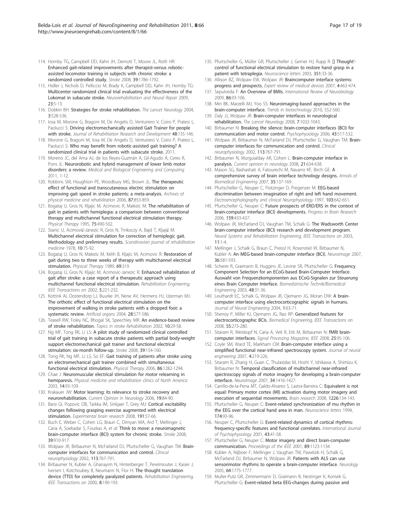- <span id="page-17-0"></span>114. Hornby TG, Campbell DD, Kahn JH, Demott T, Moore JL, Roth HR: Enhanced gait-related improvements after therapist-versus roboticassisted locomotor training in subjects with chronic stroke: a randomized controlled study. Stroke 2008, 39:1786-1792.
- 115. Hidler J, Nichols D, Pelliccio M, Brady K, Campbell DD, Kahn JH, Hornby TG: Multicenter randomized clinical trial evaluating the effectiveness of the Lokomat in subacute stroke. Neurorehabilitation and Neural Repair 2009, 23:5-13.
- 116. Dobkin BH: Strategies for stroke rehabilitation. The Lancet Neurology 2004, 3:528-536.
- 117. Iosa M, Morone G, Bragoni M, De Angelis D, Venturiero V, Coiro P, Pratesi L, Paolucci S: Driving electromechanically assisted Gait Trainer for people with stroke. Journal of Rehabilitation Research and Development 48:135-146.
- 118. Morone G, Bragoni M, Iosa M, De Angelis D, Venturiero V, Coiro P, Pratesi L, Paolucci S: Who may benefit from robotic-assisted gait training? A randomized clinical trial in patients with subacute stroke. 2011.
- 119. Moreno JC, del Ama AJ, de los Reyes-Guzmán A, Gil-Agudo Á, Ceres R, Pons JL: Neurorobotic and hybrid management of lower limb motor disorders: a review. Medical and Biological Engineering and Computing 2011, 1-12.
- 120. Robbins SM, Houghton PE, Woodbury MG, Brown JL: The therapeutic effect of functional and transcutaneous electric stimulation on improving gait speed in stroke patients: a meta-analysis. Archives of physical medicine and rehabilitation 2006, 87:853-859.
- 121. Bogataj U, Gros N, Kljajic M, Acimovic R, Malezic M: The rehabilitation of gait in patients with hemiplegia: a comparison between conventional therapy and multichannel functional electrical stimulation therapy. Physical Therapy 1995, 75:490-502.
- 122. Stanic U, Acimović-Janezic R, Gros N, Trnkoczy A, Bajd T, Kljajić M: Multichannel electrical stimulation for correction of hemiplegic gait. Methodology and preliminary results. Scandinavian journal of rehabilitation medicine 1978, 10:75-92.
- 123. Bogataj U, Gros N, Malezic M, Kelih B, Kljajic M, Acimovic R: Restoration of gait during two to three weeks of therapy with multichannel electrical stimulation. Physical Therapy 1989, 69:319.
- 124. Bogataj U, Gros N, Kljajic M, Acimovic-Janezic R: Enhanced rehabilitation of gait after stroke: a case report of a therapeutic approach using multichannel functional electrical stimulation. Rehabilitation Engineering, IEEE Transactions on 2002, 5:221-232.
- 125. Kottink AI, Oostendorp LJ, Buurke JH, Nene AV, Hermens HJ, IJzerman MJ: The orthotic effect of functional electrical stimulation on the improvement of walking in stroke patients with a dropped foot: a systematic review. Artificial organs 2004, 28:577-586.
- 126. Teasell RW, Foley NC, Bhogal SK, Speechley MR: An evidence-based review of stroke rehabilitation. Topics in stroke Rehabilitation 2002, 10:29-58.
- 127. Ng MF, Tong RK, Li LS: A pilot study of randomized clinical controlled trial of gait training in subacute stroke patients with partial body-weight support electromechanical gait trainer and functional electrical stimulation: six-month follow-up. Stroke 2008, 39:154-160.
- 128. Tong RK, Ng MF, Li LS, So EF: Gait training of patients after stroke using an electromechanical gait trainer combined with simultaneous functional electrical stimulation. Physical Therapy 2006, 86:1282-1294.
- 129. Chae J: Neuromuscular electrical stimulation for motor relearning in hemiparesis. Physical medicine and rehabilitation clinics of North America 2003, 14:93-109.
- 130. Krakauer JW: Motor learning: its relevance to stroke recovery and neurorehabilitation. Current Opinion in Neurology 2006, 19:84-90.
- 131. Barsi GI, Popovic DB, Tarkka IM, Sinkjaer T, Grey MJ: Cortical excitability changes following grasping exercise augmented with electrical stimulation. Experimental brain research 2008, 191:57-66.
- 132. Buch E, Weber C, Cohen LG, Braun C, Dimyan MA, Ard T, Mellinger J, Caria A, Soekadar S, Fourkas A, et al: Think to move: a neuromagnetic brain-computer interface (BCI) system for chronic stroke. Stroke 2008, 39:910-917.
- 133. Wolpaw JR, Birbaumer N, McFarland DJ, Pfurtscheller G, Vaughan TM: Braincomputer interfaces for communication and control. Clinical neurophysiology 2002, 113:767-791.
- 134. Birbaumer N, Kubler A, Ghanayim N, Hinterberger T, Perelmouter J, Kaiser J, Iversen I, Kotchoubey B, Neumann N, Flor H: The thought translation device (TTD) for completely paralyzed patients. Rehabilitation Engineering, IEEE Transactions on 2000, 8:190-193.
- 135. Pfurtscheller G, Müller GR, Pfurtscheller J, Gerner HJ, Rupp R; [] Thought'control of functional electrical stimulation to restore hand grasp in a patient with tetraplegia. Neuroscience letters 2003, 351:33-36.
- 136. Allison BZ, Wolpaw EW, Wolpaw JR: Braincomputer interface systems: progress and prospects. Expert review of medical devices 2007, 4:463-474.
- 137. Sepulveda F: An Overview of BMIs. International Review of Neurobiology 2009, 86:93-106.
- 138. Min BK, Marzelli MJ, Yoo SS: Neuroimaging-based approaches in the brain-computer interface. Trends in biotechnology 2010, 552-560.
- 139. Daly JJ, Wolpaw JR: Brain-computer interfaces in neurological rehabilitation. The Lancet Neurology 2008, 7:1032-1043.
- 140. Birbaumer N: Breaking the silence: brain-computer interfaces (BCI) for communication and motor control. Psychophysiology 2006, 43:517-532.
- 141. Wolpaw JR, Birbaumer N, McFarland DJ, Pfurtscheller G, Vaughan TM: Braincomputer interfaces for communication and control. Clinical neurophysiology 2002, 113:767-791.
- 142. Birbaumer N, Murquialday AR, Cohen L: Brain-computer interface in paralysis. Current opinion in neurology 2008, 21:634-638.
- 143. Mason SG, Bashashati A, Fatourechi M, Navarro KF, Birch GE: A comprehensive survey of brain interface technology designs. Annals of Biomedical Engineering 2007, 35:137-169.
- 144. Pfurtscheller G, Neuper C, Flotzinger D, Pregenzer M: EEG-based discrimination between imagination of right and left hand movement. Electroencephalography and clinical Neurophysiology 1997, 103:642-651.
- 145. Pfurtscheller G. Neuper C: Future prospects of ERD/ERS in the context of brain-computer interface (BCI) developments. Progress in Brain Research 2006, 159:433-437.
- 146. Wolpaw JR, McFarland DJ, Vaughan TM, Schalk G: The Wadsworth Center brain-computer interface (BCI) research and development program. Neural Systems and Rehabilitation Engineering, IEEE Transactions on 2003,  $11:1-4$
- 147. Mellinger J, Schalk G, Braun C, Preissl H, Rosenstiel W, Birbaumer N, Kubler A: An MEG-based brain-computer interface (BCI). Neuroimage 2007, 36:581-593.
- 148. Scherer R, Graimann B, Huggins JE, Levine SR, Pfurtscheller G: Frequency Component Selection for an ECoG-based Brain-Computer Interface. Auswahl von Frequenzkomponenten aus ECoG-Signalen zur Steuerung eines Brain Computer Interface. Biomedizinische Technik/Biomedical Engineering 2003, 48:31-36.
- 149. Leuthardt EC, Schalk G, Wolpaw JR, Ojemann JG, Moran DW: A braincomputer interface using electrocorticographic signals in humans. Journal of Neural Engineering 2004, 1:63-71.
- 150. Shenoy P, Miller KJ, Ojemann JG, Rao RP: Generalized features for electrocorticographic BCIs. Biomedical Engineering, IEEE Transactions on 2008, 55:273-280.
- 151. Sitaram R, Weiskopf N, Caria A, Veit R, Erb M, Birbaumer N: fMRI braincomputer interfaces. Signal Processing Magazine, IEEE 2008, 25:95-106.
- 152. Coyle SM, Ward TE, Markham CM: Brain-computer interface using a simplified functional near-infrared spectroscopy system. Journal of neural engineering 2007, 4:219-226.
- 153. Sitaram R, Zhang H, Guan C, Thulasidas M, Hoshi Y, Ishikawa A, Shimizu K, Birbaumer N: Temporal classification of multichannel near-infrared spectroscopy signals of motor imagery for developing a brain-computer interface. NeuroImage 2007, 34:1416-1427.
- 154. Carrillo-de-la-Pena MT, Galdo-Alvarez S, Lastra-Barreira C: Equivalent is not equal: Primary motor cortex (MI) activation during motor imagery and execution of sequential movements. Brain research 2008, 1226:134-143.
- 155. Pfurtscheller G, Neuper C: Event-related synchronization of mu rhythm in the EEG over the cortical hand area in man. Neuroscience letters 1994, 174:93-96.
- 156. Neuper C, Pfurtscheller G: Event-related dynamics of cortical rhythms: frequency-specific features and functional correlates. International Journal of Psychophysiology 2001, 43:41-58.
- 157. Pfurtscheller G, Neuper C: Motor imagery and direct brain-computer communication. Proceedings of the IEEE 2001, 89:1123-1134.
- 158. Kübler A, Nijboer F, Mellinger J, Vaughan TM, Pawelzik H, Schalk G, McFarland DJ, Birbaumer N, Wolpaw JR: Patients with ALS can use sensorimotor rhythms to operate a brain-computer interface. Neurology 2005, 64:1775-1777.
- 159. Muller-Putz GR, Zimmermann D, Graimann B, Nestinger K, Korisek G, Pfurtscheller G: Event-related beta EEG-changes during passive and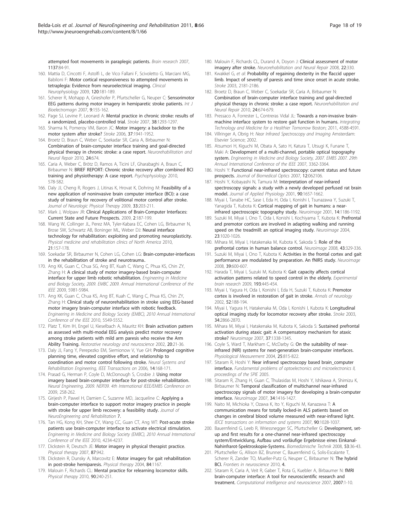<span id="page-18-0"></span>attempted foot movements in paraplegic patients. Brain research 2007, 1137:84-91.

- 160. Mattia D, Cincotti F, Astolfi L, de Vico Fallani F, Scivoletto G, Marciani MG, Babiloni F: Motor cortical responsiveness to attempted movements in tetraplegia: Evidence from neuroelectrical imaging. Clinical Neurophysiology 2009, 120:181-189.
- 161. Scherer R, Mohapp A, Grieshofer P, Pfurtscheller G, Neuper C: Sensorimotor EEG patterns during motor imagery in hemiparetic stroke patients. Int J Bioelectromagn 2007, 9:155-162.
- 162. Page SJ, Levine P, Leonard A: Mental practice in chronic stroke: results of a randomized, placebo-controlled trial. Stroke 2007, 38:1293-1297.
- 163. Sharma N, Pomeroy VM, Baron JC: Motor imagery: a backdoor to the motor system after stroke? Stroke 2006, 37:1941-1952.
- 164. Broetz D, Braun C, Weber C, Soekadar SR, Caria A, Birbaumer N: Combination of brain-computer interface training and goal-directed physical therapy in chronic stroke: a case report. Neurorehabilitation and Neural Repair 2010, 24:674.
- 165. Caria A, Weber C, Brötz D, Ramos A, Ticini LF, Gharabaghi A, Braun C, Birbaumer N: BRIEF REPORT: Chronic stroke recovery after combined BCI training and physiotherapy: A case report. Psychophysiology 2010, 578-582.
- 166. Daly JJ, Cheng R, Rogers J, Litinas K, Hrovat K, Dohring M: Feasibility of a new application of noninvasive brain computer interface (BCI): a case study of training for recovery of volitional motor control after stroke. Journal of Neurologic Physical Therapy 2009, 33:203-211.
- 167. Mark J, Wolpaw JR: Clinical Applications of Brain-Computer Interfaces: Current State and Future Prospects. 2009, 2:187-199.
- 168. Wang W, Collinger JL, Perez MA, Tyler-Kabara EC, Cohen LG, Birbaumer N, Brose SW, Schwartz AB, Boninger ML, Weber DJ: Neural interface technology for rehabilitation: exploiting and promoting neuroplasticity. Physical medicine and rehabilitation clinics of North America 2010, 21:157-178.
- 169. Soekadar SR, Birbaumer N, Cohen LG, Cohen LG: Brain-computer-interfaces in the rehabilitation of stroke and neurotrauma..
- 170. Ang KK, Guan C, Chua SG, Ang BT, Kuah C, Wang C, Phua KS, Chin ZY, Zhang H: A clinical study of motor imagery-based brain-computer interface for upper limb robotic rehabilitation. Engineering in Medicine and Biology Society, 2009. EMBC 2009. Annual International Conference of the IEEE 2009, 5981-5984.
- 171. Ang KK, Guan C, Chua KS, Ang BT, Kuah C, Wang C, Phua KS, Chin ZY, Zhang H: Clinical study of neurorehabilitation in stroke using EEG-based motor imagery brain-computer interface with robotic feedback. Engineering in Medicine and Biology Society (EMBC), 2010 Annual International Conference of the IEEE 2010, 5549-5552.
- 172. Platz T, Kim IH, Engel U, Kieselbach A, Mauritz KH: Brain activation pattern as assessed with multi-modal EEG analysis predict motor recovery among stroke patients with mild arm paresis who receive the Arm Ability Training. Restorative neurology and neuroscience 2002, 20:21-36.
- 173. Daly JJ, Fang Y, Perepezko EM, Siemionow V, Yue GH: Prolonged cognitive planning time, elevated cognitive effort, and relationship to coordination and motor control following stroke. Neural Systems and Rehabilitation Engineering, IEEE Transactions on 2006, 14:168-171.
- 174. Prasad G, Herman P, Coyle D, McDonough S, Crosbie J: Using motor imagery based brain-computer interface for post-stroke rehabilitation. Neural Engineering, 2009. NER'09. 4th International IEEE/EMBS Conference on 2009, 258-262.
- 175. Girijesh P, Pawel H, Damien C, Suzanne MD, Jacqueline C: Applying a brain-computer interface to support motor imagery practice in people with stroke for upper limb recovery: a feasibility study. Journal of NeuroEngineering and Rehabilitation 7.
- 176. Tan HG, Kong KH, Shee CY, Wang CC, Guan CT, Ang WT: Post-acute stroke patients use brain-computer interface to activate electrical stimulation. Engineering in Medicine and Biology Society (EMBC), 2010 Annual International Conference of the IEEE 2010, 4234-4237.
- 177. Dickstein R, Deutsch JE: Motor imagery in physical therapist practice. Physical therapy 2007, 87:942.
- 178. Dickstein R, Dunsky A, Marcovitz E: Motor imagery for gait rehabilitation in post-stroke hemiparesis. Physical therapy 2004, 84:1167.
- 179. Malouin F, Richards CL: Mental practice for relearning locomotor skills. Physical therapy 2010, 90:240-251.
- 180. Malouin F, Richards CL, Durand A, Dovon J: Clinical assessment of motor imagery after stroke. Neurorehabilitation and Neural Repair 2008, 22:330.
- 181. Kwakkel G, et al: Probability of regaining dexterity in the flaccid upper limb. Impact of severity of paresis and time since onset in acute stroke. Stroke 2003, 2181-2186.
- 182. Broetz D, Braun C, Weber C, Soekadar SR, Caria A, Birbaumer N: Combination of brain-computer interface training and goal-directed physical therapy in chronic stroke: a case report. Neurorehabilitation and Neural Repair 2010, 24:674-679.
- 183. Pressaco A, Forrester L, Contreras Vidal JL: Towards a non-invasive brainmachine interface system to restore gait function in humans. Integrating Technology and Medicine for a Healthier Tomorrow Boston; 2011, 4588-4591.
- 184. Villringer A, Obrig H: Near Infrared Spectroscopy and Imaging Amsterdam: Elsevier Science; 2002.
- 185. Atsumori H, Kiguchi M, Obata A, Sato H, Katura T, Utsugi K, Funane T, Maki A: Development of a multi-channel, portable optical topography system. Engineering in Medicine and Biology Society, 2007. EMBS 2007. 29th Annual International Conference of the IEEE 2007, 3362-3364.
- 186. Hoshi Y: Functional near-infrared spectroscopy: current status and future prospects. Journal of Biomedical Optics 2007, 12:062106.
- 187. Hoshi Y, Kobayashi N, Tamura M: Interpretation of near-infrared spectroscopy signals: a study with a newly developed perfused rat brain model. Journal of Applied Physiology 2001, 90:1657-1662.
- 188. Miyai I, Tanabe HC, Sase I, Eda H, Oda I, Konishi I, Tsunazawa Y, Suzuki T, Yanagida T, Kubota K: Cortical mapping of gait in humans: a nearinfrared spectroscopic topography study. Neuroimage 2001, 14:1186-1192.
- 189. Suzuki M, Miyai I, Ono T, Oda I, Konishi I, Kochiyama T, Kubota K: Prefrontal and premotor cortices are involved in adapting walking and running speed on the treadmill: an optical imaging study. Neuroimage 2004, 23:1020-1026.
- 190. Mihara M, Miyai I, Hatakenaka M, Kubota K, Sakoda S: Role of the prefrontal cortex in human balance control. Neuroimage 2008, 43:329-336.
- 191. Suzuki M, Miyai I, Ono T, Kubota K: Activities in the frontal cortex and gait performance are modulated by preparation. An fNIRS study. Neuroimage 2008, 39:600-607.
- 192. Harada T, Miyai I, Suzuki M, Kubota K: Gait capacity affects cortical activation patterns related to speed control in the elderly. Experimental brain research 2009, 193:445-454.
- 193. Miyai I, Yagura H, Oda I, Konishi I, Eda H, Suzuki T, Kubota K: Premotor cortex is involved in restoration of gait in stroke. Annals of neurology 2002, 52:188-194.
- 194. Miyai I, Yagura H, Hatakenaka M, Oda I, Konishi I, Kubota K: Longitudinal optical imaging study for locomotor recovery after stroke. Stroke 2003, 34:2866-2870.
- 195. Mihara M, Miyai I, Hatakenaka M, Kubota K, Sakoda S: Sustained prefrontal activation during ataxic gait: A compensatory mechanism for ataxic stroke? Neuroimage 2007, 37:1338-1345.
- 196. Coyle S, Ward T, Markham C, McDarby G: On the suitability of nearinfrared (NIR) systems for next-generation brain-computer interfaces. Physiological Measurement 2004, 25:815-822.
- 197. Sitaram R, Hoshi Y: Near infrared spectroscopy based brain\_computer interface. Fundamental problems of optoelectronics and microelectronics II, proceedings of the SPIE 2005.
- 198. Sitaram R, Zhang H, Guan C, Thulasidas M, Hoshi Y, Ishikawa A, Shimizu K, Birbaumer N: Temporal classification of multichannel near-infrared spectroscopy signals of motor imagery for developing a brain-computer interface. NeuroImage 2007, 34:1416-1427.
- 199. Naito M, Michioka Y, Ozawa K, Ito Y, Kiguchi M, Kanazawa T: A communication means for totally locked-in ALS patients based on changes in cerebral blood volume measured with near-infrared light. IEICE transactions on information and systems 2007, 90:1028-1037.
- 200. Bauernfeind G, Leeb R, Wriessnegger SC, Pfurtscheller G: Development, setup and first results for a one-channel near-infrared spectroscopy system/Entwicklung, Aufbau und vorläufige Ergebnisse eines Einkanal-Nahinfrarot-Spektroskopie-Systems. Biomedizinische Technik 2008, 53:36-43.
- 201. Pfurtscheller G, Allison BZ, Brunner C, Bauernfeind G, Solis-Escalante T, Scherer R, Zander TO, Mueller-Putz G, Neuper C, Birbaumer N: The hybrid BCI. Frontiers in neuroscience 2010, 4.
- 202. Sitaram R, Caria A, Veit R, Gaber T, Rota G, Kuebler A, Birbaumer N: fMRI brain-computer interface: A tool for neuroscientific research and treatment. Computational intelligence and neuroscience 2007, 2007:1-10.